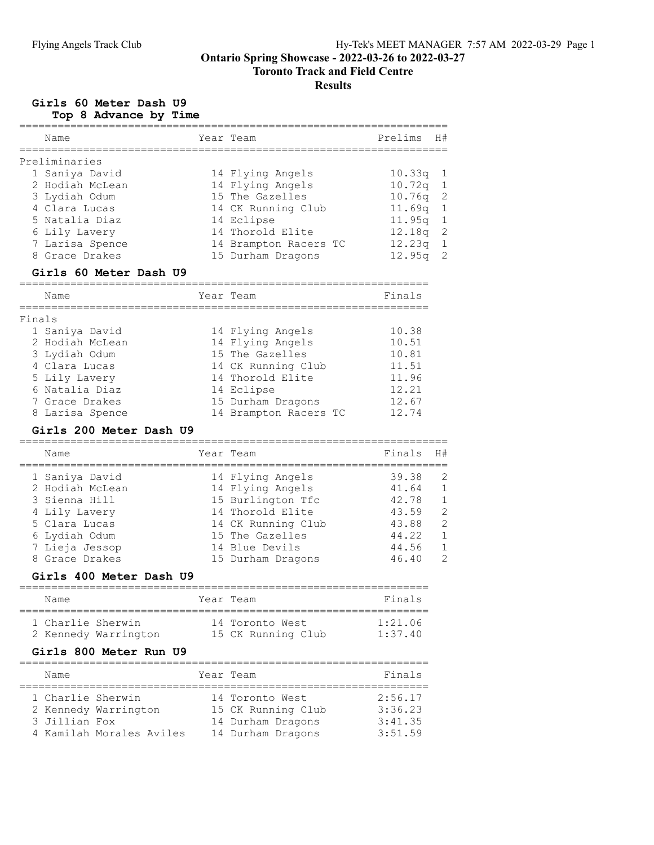#### Toronto Track and Field Centre

## Results

## Girls 60 Meter Dash U9

Top 8 Advance by Time

| Name                                      |           | Year Team                              | Prelims            | H#             |
|-------------------------------------------|-----------|----------------------------------------|--------------------|----------------|
| Preliminaries                             |           |                                        |                    |                |
| 1 Saniya David                            |           | 14 Flying Angels                       | 10.33q             | $\mathbf 1$    |
| 2 Hodiah McLean                           |           | 14 Flying Angels                       | 10.72q             | $1\,$          |
| 3 Lydiah Odum                             |           | 15 The Gazelles                        | 10.76q             | $\mathbf{2}$   |
| 4 Clara Lucas                             |           | 14 CK Running Club                     | 11.69q             | $\mathbf 1$    |
| 5 Natalia Diaz                            |           | 14 Eclipse                             | 11.95q             | $\mathbf 1$    |
| 6 Lily Lavery                             |           | 14 Thorold Elite                       | 12.18q             | $\sqrt{2}$     |
| 7 Larisa Spence                           |           | 14 Brampton Racers TC                  | 12.23q             | $1\,$          |
| 8 Grace Drakes                            |           | 15 Durham Dragons                      | 12.95q             | $\mathbf{2}$   |
| Girls 60 Meter Dash U9                    |           |                                        |                    |                |
| Name                                      |           | Year Team                              | Finals             |                |
|                                           |           | ------                                 |                    |                |
| Finals<br>1 Saniya David                  |           | 14 Flying Angels                       | 10.38              |                |
| 2 Hodiah McLean                           |           | 14 Flying Angels                       | 10.51              |                |
|                                           |           | 15 The Gazelles                        | 10.81              |                |
| 3 Lydiah Odum<br>4 Clara Lucas            |           | 14 CK Running Club                     | 11.51              |                |
| 5 Lily Lavery                             |           | 14 Thorold Elite                       | 11.96              |                |
| 6 Natalia Diaz                            |           | 14 Eclipse                             | 12.21              |                |
| 7 Grace Drakes                            |           | 15 Durham Dragons                      | 12.67              |                |
| 8 Larisa Spence                           |           | 14 Brampton Racers TC                  | 12.74              |                |
|                                           |           |                                        |                    |                |
| Girls 200 Meter Dash U9                   |           |                                        |                    |                |
| Name                                      |           | Year Team                              | Finals             | H#             |
| 1 Saniya David                            |           | 14 Flying Angels                       | 39.38              | 2              |
| 2 Hodiah McLean                           |           | 14 Flying Angels                       | 41.64              | $\mathbf 1$    |
| 3 Sienna Hill                             |           | 15 Burlington Tfc                      | 42.78              | $\mathbf{1}$   |
| 4 Lily Lavery                             |           | 14 Thorold Elite                       | 43.59              | $\overline{c}$ |
| 5 Clara Lucas                             |           | 14 CK Running Club                     | 43.88              | $\overline{c}$ |
| 6 Lydiah Odum                             |           | 15 The Gazelles                        | 44.22              | $1\,$          |
| 7 Lieja Jessop                            |           | 14 Blue Devils                         | 44.56              | $1\,$          |
| 8 Grace Drakes                            |           | 15 Durham Dragons                      | 46.40              | $\mathbf{2}$   |
| Girls 400 Meter Dash U9                   |           |                                        |                    |                |
| Name                                      |           | Year Team                              | Finals             |                |
| 1 Charlie Sherwin                         |           | 14 Toronto West                        | 1:21.06            |                |
|                                           |           |                                        | 1:37.40            |                |
| 2 Kennedy Warrington 15 CK Running Club   |           |                                        |                    |                |
| Girls 800 Meter Run U9                    |           |                                        |                    |                |
| Name                                      | Year Team |                                        | Finals             |                |
| 1 Charlie Sherwin                         |           | 14 Toronto West                        | 2:56.17            |                |
|                                           |           |                                        |                    |                |
|                                           |           |                                        |                    |                |
| 2 Kennedy Warrington                      |           | 15 CK Running Club                     | 3:36.23            |                |
| 3 Jillian Fox<br>4 Kamilah Morales Aviles |           | 14 Durham Dragons<br>14 Durham Dragons | 3:41.35<br>3:51.59 |                |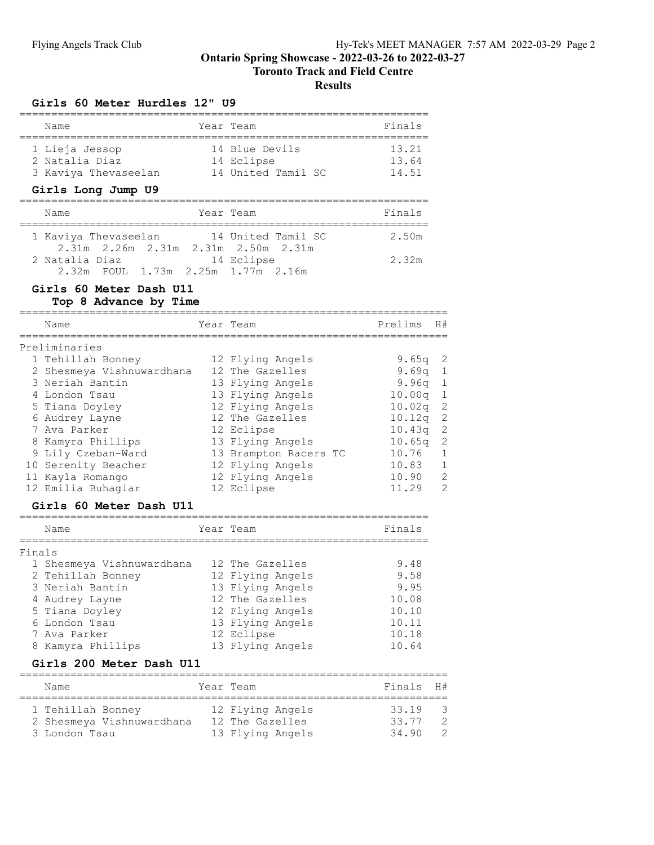#### Toronto Track and Field Centre

## Results

## Girls 60 Meter Hurdles 12" U9

|        | Name                                                              |               | Year Team                                               | Finals                  |                                 |
|--------|-------------------------------------------------------------------|---------------|---------------------------------------------------------|-------------------------|---------------------------------|
|        | 1 Lieja Jessop<br>2 Natalia Diaz<br>3 Kaviya Thevaseelan          | ------------- | 14 Blue Devils<br>14 Eclipse<br>14 United Tamil SC      | 13.21<br>13.64<br>14.51 |                                 |
|        | Girls Long Jump U9                                                |               |                                                         |                         |                                 |
|        | Name                                                              |               | Year Team                                               | Finals                  |                                 |
|        | 1 Kaviya Thevaseelan<br>2.31m 2.26m 2.31m 2.31m 2.50m 2.31m       |               | 14 United Tamil SC                                      | 2.50m                   |                                 |
|        | 2 Natalia Diaz<br>2.32m FOUL 1.73m 2.25m                          |               | 14 Eclipse<br>1.77m 2.16m                               | 2.32m                   |                                 |
|        | Girls 60 Meter Dash U11<br>Top 8 Advance by Time                  |               |                                                         |                         |                                 |
|        | --------------<br>Name                                            |               | Year Team                                               | Prelims                 | H#                              |
|        | Preliminaries                                                     |               |                                                         |                         |                                 |
|        | 1 Tehillah Bonney<br>2 Shesmeya Vishnuwardhana<br>3 Neriah Bantin |               | 12 Flying Angels<br>12 The Gazelles<br>13 Flying Angels | 9.65q<br>9.69q          | 2<br>$\mathbf 1$<br>$\mathbf 1$ |
|        | 4 London Tsau                                                     |               | 13 Flying Angels                                        | 9.96q<br>10.00q         | $1\,$                           |
|        | 5 Tiana Doyley                                                    |               | 12 Flying Angels                                        | 10.02q                  | $\mathbf{2}$                    |
|        | 6 Audrey Layne                                                    |               | 12 The Gazelles                                         | 10.12q                  | $\mathbf{2}$                    |
|        | 7 Ava Parker<br>8 Kamyra Phillips                                 |               | 12 Eclipse<br>13 Flying Angels                          | 10.43q<br>10.65q        | $\mathbf{2}$<br>$\overline{c}$  |
|        | 9 Lily Czeban-Ward                                                |               | 13 Brampton Racers TC                                   | 10.76                   | $1\,$                           |
|        | 10 Serenity Beacher                                               |               | 12 Flying Angels                                        | 10.83                   | $\mathbf 1$                     |
|        | 11 Kayla Romango                                                  |               | 12 Flying Angels                                        | 10.90                   | $\mathbf{2}$                    |
|        | 12 Emilia Buhagiar                                                |               | 12 Eclipse                                              | 11.29                   | $\overline{2}$                  |
|        | Girls 60 Meter Dash U11<br>------------------------------         |               | -----------------------------                           |                         |                                 |
|        | Name                                                              |               | Year Team                                               | Finals                  |                                 |
| Finals |                                                                   |               |                                                         |                         |                                 |
|        | 1 Shesmeya Vishnuwardhana                                         |               | 12 The Gazelles                                         | 9.48                    |                                 |
|        | 2 Tehillah Bonney                                                 |               | 12 Flying Angels                                        | 9.58                    |                                 |
|        | 3 Neriah Bantin                                                   |               | 13 Flying Angels                                        | 9.95                    |                                 |
|        | 4 Audrey Layne                                                    |               | 12 The Gazelles                                         | 10.08                   |                                 |
|        | 5 Tiana Doyley<br>6 London Tsau                                   |               | 12 Flying Angels<br>13 Flying Angels                    | 10.10<br>10.11          |                                 |
|        | 7 Ava Parker                                                      |               | 12 Eclipse                                              | 10.18                   |                                 |
|        | 8 Kamyra Phillips                                                 |               | 13 Flying Angels                                        | 10.64                   |                                 |
|        | Girls 200 Meter Dash U11                                          |               |                                                         |                         |                                 |
|        | =====================================<br>Name                     |               | ----------------------------------<br>Year Team         | Finals                  | H#                              |
|        | 1 Tehillah Bonney                                                 |               | 12 Flying Angels                                        | 33.19                   | 3                               |
|        | 2 Shesmeya Vishnuwardhana 12 The Gazelles                         |               |                                                         | 33.77                   | $\overline{c}$                  |

3 London Tsau 13 Flying Angels 34.90 2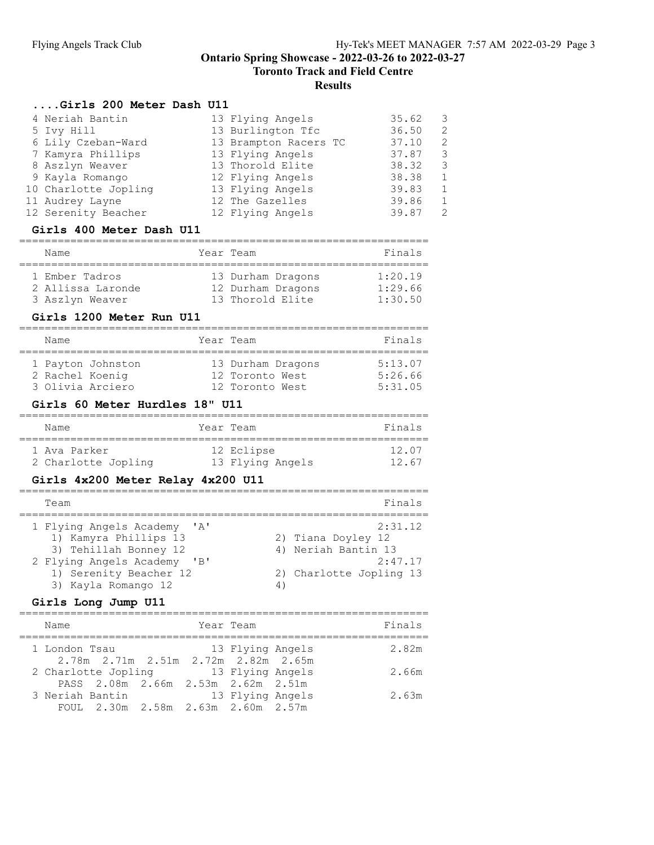Toronto Track and Field Centre

### Results

### ....Girls 200 Meter Dash U11

| 4 Neriah Bantin      | 13 Flying Angels      | 35.62 | -3             |
|----------------------|-----------------------|-------|----------------|
| 5 Ivy Hill           | 13 Burlington Tfc     | 36.50 | 2              |
| 6 Lily Czeban-Ward   | 13 Brampton Racers TC | 37.10 | 2              |
| 7 Kamyra Phillips    | 13 Flying Angels      | 37.87 | 3              |
| 8 Aszlyn Weaver      | 13 Thorold Elite      | 38.32 | 3              |
| 9 Kayla Romango      | 12 Flying Angels      | 38.38 | 1              |
| 10 Charlotte Jopling | 13 Flying Angels      | 39.83 | 1              |
| 11 Audrey Layne      | 12 The Gazelles       | 39.86 | 1              |
| 12 Serenity Beacher  | 12 Flying Angels      | 39.87 | $\overline{2}$ |

#### Girls 400 Meter Dash U11

#### ================================================================

| Name                                | Year Team                              | Finals             |
|-------------------------------------|----------------------------------------|--------------------|
| 1 Ember Tadros<br>2 Allissa Laronde | 13 Durham Dragons<br>12 Durham Dragons | 1:20.19<br>1:29.66 |
| 3 Aszlyn Weaver                     | 13 Thorold Elite                       | 1:30.50            |

#### Girls 1200 Meter Run U11

| Name            |                   | Year Team |                   | Finals  |
|-----------------|-------------------|-----------|-------------------|---------|
|                 |                   |           |                   |         |
|                 | 1 Payton Johnston |           | 13 Durham Dragons | 5:13.07 |
| 2 Rachel Koenig |                   |           | 12 Toronto West   | 5:26.66 |
|                 | 3 Olivia Arciero  |           | 12 Toronto West   | 5:31.05 |

#### Girls 60 Meter Hurdles 18" U11

| Name                                | Year Team |                                | Finals         |
|-------------------------------------|-----------|--------------------------------|----------------|
| 1 Ava Parker<br>2 Charlotte Jopling |           | 12 Eclipse<br>13 Flying Angels | 12.07<br>12.67 |

#### Girls 4x200 Meter Relay 4x200 U11

| Team                                                                                                                        | Finals                                               |
|-----------------------------------------------------------------------------------------------------------------------------|------------------------------------------------------|
| 1 Flying Angels Academy<br>$\mathbf{A}$<br>1) Kamyra Phillips 13<br>3) Tehillah Bonney 12                                   | 2:31.12<br>2) Tiana Doyley 12<br>4) Neriah Bantin 13 |
| 2 Flying Angels Academy<br>$^{\prime}$ B <sup><math>^{\prime}</math></sup><br>1) Serenity Beacher 12<br>3) Kayla Romango 12 | 2:47.17<br>2) Charlotte Jopling 13<br>4              |

#### Girls Long Jump U11

================================================================ Name **Example 2** Team Team Team Team Finals ================================================================ 1 London Tsau 13 Flying Angels 2.82m 2.78m 2.71m 2.51m 2.72m 2.82m 2.65m 2 Charlotte Jopling 13 Flying Angels 2.66m PASS 2.08m 2.66m 2.53m 2.62m 2.51m 3 Neriah Bantin 13 Flying Angels 2.63m FOUL 2.30m 2.58m 2.63m 2.60m 2.57m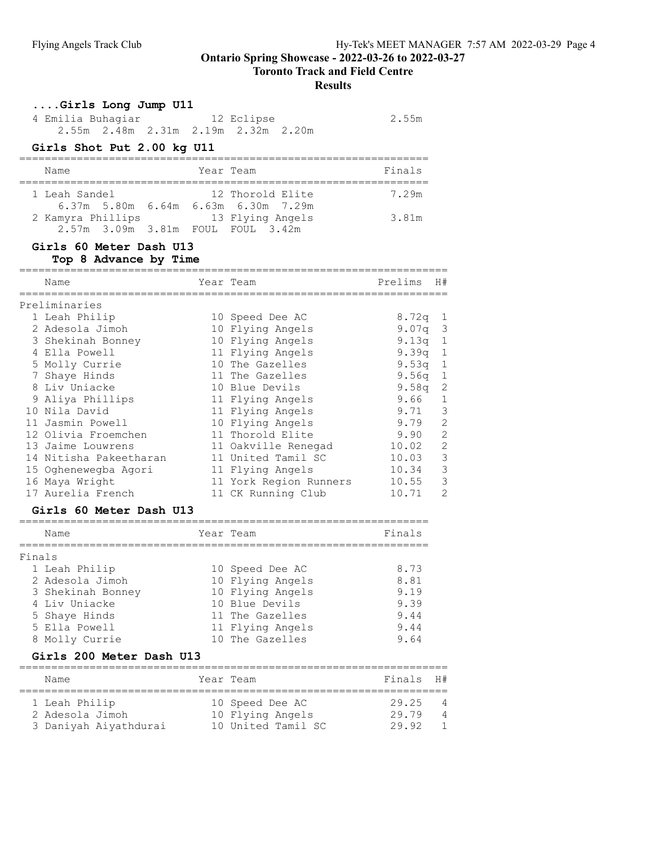Toronto Track and Field Centre

## Results

| Girls Long Jump U11                                                                           |                   |                                                    |                |                             |
|-----------------------------------------------------------------------------------------------|-------------------|----------------------------------------------------|----------------|-----------------------------|
| 4 Emilia Buhagiar<br>2.55m 2.48m 2.31m 2.19m 2.32m                                            |                   | 12 Eclipse<br>2.20m                                | 2.55m          |                             |
| Girls Shot Put 2.00 kg U11                                                                    |                   |                                                    |                |                             |
| ===============================<br>Name                                                       |                   | -------------------------------------<br>Year Team | Finals         |                             |
| 1 Leah Sandel                                                                                 |                   | .=======================<br>12 Thorold Elite       | 7.29m          |                             |
| 6.37m 5.80m 6.64m 6.63m 6.30m 7.29m<br>2 Kamyra Phillips<br>2.57m 3.09m 3.81m FOUL FOUL 3.42m |                   | 13 Flying Angels                                   | 3.81m          |                             |
| Girls 60 Meter Dash U13<br>Top 8 Advance by Time                                              |                   |                                                    |                |                             |
| Name                                                                                          |                   | Year Team                                          | Prelims        | H#                          |
| ===============                                                                               | ================  |                                                    |                |                             |
| Preliminaries<br>1 Leah Philip<br>2 Adesola Jimoh                                             |                   | 10 Speed Dee AC<br>10 Flying Angels                | 8.72q<br>9.07q | 1<br>3                      |
| 3 Shekinah Bonney                                                                             |                   | 10 Flying Angels                                   | 9.13q          | $\mathbf 1$                 |
| 4 Ella Powell                                                                                 |                   | 11 Flying Angels                                   | 9.39q          | $1\,$                       |
| 5 Molly Currie                                                                                |                   | 10 The Gazelles<br>11 The Gazelles                 | 9.53q          | $\mathbf 1$                 |
| 7 Shaye Hinds<br>8 Liv Uniacke                                                                |                   | 10 Blue Devils                                     | 9.56q<br>9.58q | $\mathbf 1$<br>$\mathbf{2}$ |
| 9 Aliya Phillips                                                                              |                   | 11 Flying Angels                                   | 9.66           | 1                           |
| 10 Nila David                                                                                 |                   | 11 Flying Angels                                   | 9.71           | 3                           |
| 11 Jasmin Powell                                                                              |                   | 10 Flying Angels                                   | 9.79           | $\overline{c}$              |
| 12 Olivia Froemchen                                                                           |                   | 11 Thorold Elite                                   | 9.90           | $\overline{c}$              |
| 13 Jaime Louwrens                                                                             |                   | 11 Oakville Renegad                                | 10.02          | $\overline{c}$              |
| 14 Nitisha Pakeetharan                                                                        |                   | 11 United Tamil SC                                 | 10.03          | 3                           |
| 15 Oghenewegba Agori                                                                          |                   | 11 Flying Angels                                   | 10.34          | 3                           |
| 16 Maya Wright                                                                                |                   | 11 York Region Runners                             | 10.55          | 3                           |
| 17 Aurelia French                                                                             |                   | 11 CK Running Club                                 | 10.71          | $\overline{2}$              |
| Girls 60 Meter Dash U13                                                                       |                   |                                                    |                |                             |
| Name<br>.==========                                                                           | .================ | Year Team                                          | Finals         |                             |
| Finals                                                                                        |                   |                                                    |                |                             |
| 1 Leah Philip                                                                                 |                   | 10 Speed Dee AC                                    | 8.73           |                             |
| 2 Adesola Jimoh                                                                               |                   | 10 Flying Angels                                   | 8.81           |                             |
| 3 Shekinah Bonney                                                                             |                   | 10 Flying Angels                                   | 9.19           |                             |
| 4 Liv Uniacke                                                                                 |                   | 10 Blue Devils                                     | 9.39           |                             |
| 5 Shaye Hinds                                                                                 |                   | 11 The Gazelles                                    | 9.44           |                             |
| 5 Ella Powell                                                                                 |                   | 11 Flying Angels                                   | 9.44           |                             |
| 8 Molly Currie                                                                                |                   | 10 The Gazelles                                    | 9.64           |                             |
| Girls 200 Meter Dash U13                                                                      |                   |                                                    |                |                             |
| Name                                                                                          |                   | Year Team                                          | Finals         | H#                          |
| 1 Leah Philip                                                                                 |                   | 10 Speed Dee AC                                    | 29.25          | 4                           |
| 2 Adesola Jimoh                                                                               |                   | 10 Flying Angels                                   | 29.79          | 4                           |

3 Daniyah Aiyathdurai 10 United Tamil SC 29.92 1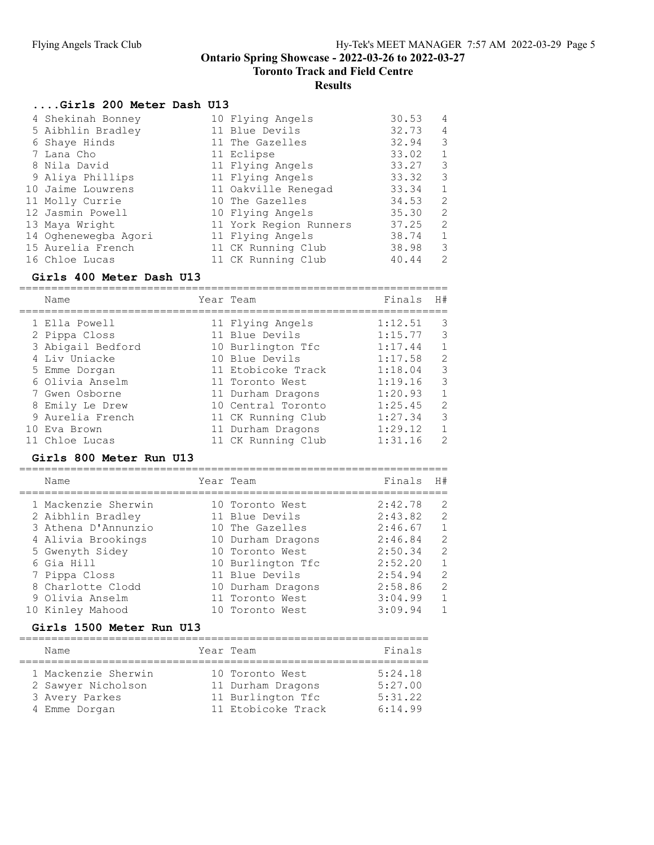Toronto Track and Field Centre

#### Results

### ....Girls 200 Meter Dash U13

| 4 Shekinah Bonney    | 10 Flying Angels       | 30.53 | $\overline{4}$ |
|----------------------|------------------------|-------|----------------|
| 5 Aibhlin Bradley    | 11 Blue Devils         | 32.73 | $\overline{4}$ |
| 6 Shaye Hinds        | 11 The Gazelles        | 32.94 | 3              |
| 7 Lana Cho           | 11 Eclipse             | 33.02 | $\mathbf{1}$   |
| 8 Nila David         | 11 Flying Angels       | 33.27 | 3              |
| 9 Aliya Phillips     | 11 Flying Angels       | 33.32 | 3              |
| 10 Jaime Louwrens    | 11 Oakville Renegad    | 33.34 | 1              |
| 11 Molly Currie      | 10 The Gazelles        | 34.53 | 2              |
| 12 Jasmin Powell     | 10 Flying Angels       | 35.30 | 2              |
| 13 Maya Wright       | 11 York Region Runners | 37.25 | 2              |
| 14 Oghenewegba Agori | 11 Flying Angels       | 38.74 | $\mathbf{1}$   |
| 15 Aurelia French    | 11 CK Running Club     | 38.98 | 3              |
| 16 Chloe Lucas       | 11 CK Running Club     | 40.44 | 2              |

#### Girls 400 Meter Dash U13

=================================================================== Name Year Team Finals H# =================================================================== 1 Ella Powell 11 Flying Angels 1:12.51 3 2 Pippa Closs 11 Blue Devils 1:15.77 3 3 Abigail Bedford 10 Burlington Tfc 1:17.44 1 4 Liv Uniacke 10 Blue Devils 1:17.58 2 5 Emme Dorgan 11 Etobicoke Track 1:18.04 3 6 Olivia Anselm 11 Toronto West 1:19.16 3 7 Gwen Osborne 11 Durham Dragons 1:20.93 1 8 Emily Le Drew 10 Central Toronto 1:25.45 2 9 Aurelia French 11 CK Running Club 1:27.34 3 10 Eva Brown 11 Durham Dragons 1:29.12 1 11 Chloe Lucas 11 CK Running Club 1:31.16 2

#### Girls 800 Meter Run U13

|  | Name                                     | Year Team                         | Finals             | H#             |
|--|------------------------------------------|-----------------------------------|--------------------|----------------|
|  | 1 Mackenzie Sherwin<br>2 Aibhlin Bradley | 10 Toronto West<br>11 Blue Devils | 2:42.78<br>2:43.82 | 2<br>2         |
|  | 3 Athena D'Annunzio                      | 10 The Gazelles                   | 2:46.67            | $\overline{1}$ |
|  | 4 Alivia Brookings                       | 10 Durham Dragons                 | 2:46.84            | 2              |
|  | 5 Gwenyth Sidey                          | 10 Toronto West                   | 2:50.34            | 2              |
|  | 6 Gia Hill                               | 10 Burlington Tfc                 | 2:52.20            | $\mathbf{1}$   |
|  | 7 Pippa Closs                            | 11 Blue Devils                    | 2:54.94            | 2              |
|  | 8 Charlotte Clodd                        | 10 Durham Dragons                 | 2:58.86            | $\mathcal{L}$  |
|  | 9 Olivia Anselm                          | 11 Toronto West                   | 3:04.99            |                |
|  | 10 Kinley Mahood                         | 10 Toronto West                   | 3:09.94            |                |
|  |                                          |                                   |                    |                |

#### Girls 1500 Meter Run U13

| Name                                                                         | Year Team                                                                       | Finals                                   |
|------------------------------------------------------------------------------|---------------------------------------------------------------------------------|------------------------------------------|
| 1 Mackenzie Sherwin<br>2 Sawyer Nicholson<br>3 Avery Parkes<br>4 Emme Dorgan | 10 Toronto West<br>11 Durham Dragons<br>11 Burlington Tfc<br>11 Etobicoke Track | 5:24.18<br>5:27.00<br>5:31.22<br>6:14.99 |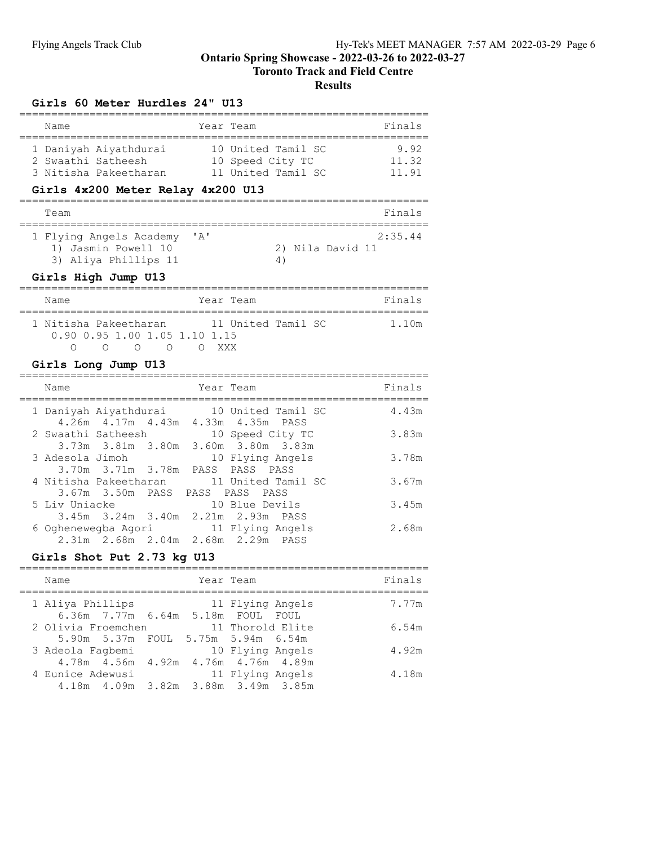#### Toronto Track and Field Centre

## Results

## Girls 60 Meter Hurdles 24" U13

| Name                                                                      | Year Team                                                                     | Finals                 |
|---------------------------------------------------------------------------|-------------------------------------------------------------------------------|------------------------|
| 1 Daniyah Aiyathdurai<br>2 Swaathi Satheesh<br>3 Nitisha Pakeetharan      | 10 United Tamil SC<br>10 Speed City TC<br>11 United Tamil SC                  | 9.92<br>11.32<br>11.91 |
| Girls 4x200 Meter Relay 4x200 U13                                         |                                                                               |                        |
| Team                                                                      |                                                                               | Finals                 |
| 1 Flying Angels Academy<br>1) Jasmin Powell 10<br>3) Aliya Phillips 11    | יגי<br>2) Nila David 11<br>4)                                                 | 2:35.44                |
| Girls High Jump U13                                                       |                                                                               |                        |
| Name                                                                      | Year Team                                                                     | Finals                 |
| 1 Nitisha Pakeetharan 11 United Tamil SC<br>0.90 0.95 1.00 1.05 1.10 1.15 |                                                                               | 1.10m                  |
| $\circ$<br>Ω<br>$\Omega$<br>$\Omega$<br>Girls Long Jump U13               | $\overline{O}$<br>XXX -                                                       |                        |
| ._________________________<br>Name                                        | Year Team                                                                     | Finals                 |
| ___________________________________<br>1 Daniyah Aiyathdurai              | 10 United Tamil SC                                                            | 4.43m                  |
| $4.26m$ $4.17m$ $4.43m$<br>2 Swaathi Satheesh                             | 4.33m  4.35m  PASS<br>10 Speed City TC<br>3.73m 3.81m 3.80m 3.60m 3.80m 3.83m | 3.83m                  |
| 3 Adesola Jimoh                                                           | 10 Flying Angels                                                              | 3.78m                  |
| 3.70m 3.71m 3.78m<br>4 Nitisha Pakeetharan<br>$3.67m$ $3.50m$<br>PASS     | PASS PASS PASS<br>11 United Tamil SC<br>PASS PASS PASS                        | 3.67m                  |
| 5 Liv Uniacke<br>3.45m 3.24m 3.40m 2.21m 2.93m PASS                       | 10 Blue Devils                                                                | 3.45m                  |

# Girls Shot Put 2.73 kg U13

| Name                                     | Year Team |                  | Finals |
|------------------------------------------|-----------|------------------|--------|
| 1 Aliya Phillips                         |           | 11 Flying Angels | 7.77m  |
| 6.36m 7.77m 6.64m 5.18m FOUL FOUL        |           |                  |        |
| 2 Olivia Froemchen                       |           | 11 Thorold Elite | 6.54m  |
| 5.90m 5.37m FOUL 5.75m 5.94m 6.54m       |           |                  |        |
| 3 Adeola Faqbemi                         |           | 10 Flying Angels | 4.92m  |
| 4,78m  4,56m  4,92m  4,76m  4,76m  4,89m |           |                  |        |
| 4 Eunice Adewusi                         |           | 11 Flying Angels | 4.18m  |
| 4.18m  4.09m  3.82m  3.88m  3.49m  3.85m |           |                  |        |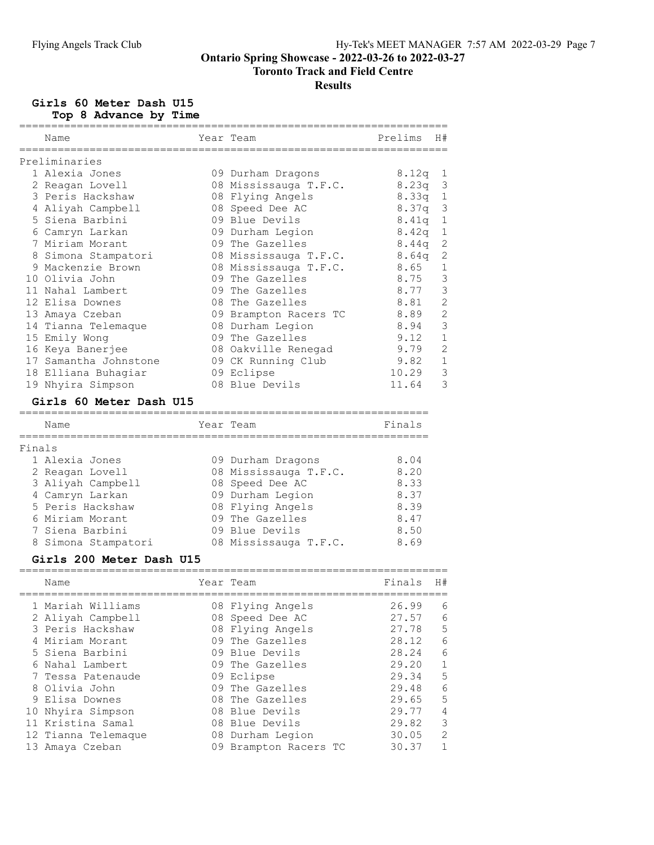### Toronto Track and Field Centre

#### Results

Girls 60 Meter Dash U15

|        | Top 8 Advance by Time          |                       |         |                |
|--------|--------------------------------|-----------------------|---------|----------------|
|        | Name                           | Year Team             | Prelims | H#             |
|        | =============<br>Preliminaries |                       |         |                |
|        | 1 Alexia Jones                 | 09 Durham Dragons     | 8.12q   | 1              |
|        | 2 Reagan Lovell                | 08 Mississauga T.F.C. | 8.23q   | $\mathsf 3$    |
|        | 3 Peris Hackshaw               | 08 Flying Angels      | 8.33q   | 1              |
|        | 4 Aliyah Campbell              | 08 Speed Dee AC       | 8.37q   | $\mathcal{S}$  |
|        | 5 Siena Barbini                | 09 Blue Devils        | 8.41q   | $\mathbf 1$    |
|        | 6 Camryn Larkan                | 09 Durham Legion      | 8.42q   | $\mathbf 1$    |
|        | 7 Miriam Morant                | 09 The Gazelles       | 8.44q   | $\mathbf{2}$   |
|        | 8 Simona Stampatori            | 08 Mississauga T.F.C. | 8.64q   | $\overline{c}$ |
|        | 9 Mackenzie Brown              | 08 Mississauga T.F.C. | 8.65    | $\mathbf{1}$   |
|        | 10 Olivia John                 | 09 The Gazelles       | 8.75    | 3              |
|        | 11 Nahal Lambert               | 09 The Gazelles       | 8.77    | 3              |
|        | 12 Elisa Downes                | 08 The Gazelles       | 8.81    | $\overline{c}$ |
|        | 13 Amaya Czeban                | 09 Brampton Racers TC | 8.89    | $\overline{c}$ |
|        | 14 Tianna Telemaque            | 08 Durham Legion      | 8.94    | 3              |
|        | 15 Emily Wong                  | 09 The Gazelles       | 9.12    | $1\,$          |
|        | 16 Keya Banerjee               | 08 Oakville Renegad   | 9.79    | $\overline{c}$ |
|        | 17 Samantha Johnstone          | 09 CK Running Club    | 9.82    | $1\,$          |
|        | 18 Elliana Buhagiar            | 09 Eclipse            | 10.29   | 3              |
|        | 19 Nhyira Simpson              | 08 Blue Devils        | 11.64   | 3              |
|        | Girls 60 Meter Dash U15        |                       |         |                |
|        | Name                           | Year Team             | Finals  |                |
| Finals |                                |                       |         |                |
|        | 1 Alexia Jones                 | 09 Durham Dragons     | 8.04    |                |
|        | 2 Reagan Lovell                | 08 Mississauga T.F.C. | 8.20    |                |
|        | 3 Aliyah Campbell              | 08 Speed Dee AC       | 8.33    |                |
|        | 4 Camryn Larkan                | 09 Durham Legion      | 8.37    |                |
|        | 5 Peris Hackshaw               | 08 Flying Angels      | 8.39    |                |
|        | 6 Miriam Morant                | 09 The Gazelles       | 8.47    |                |
|        | 7 Siena Barbini                | 09 Blue Devils        | 8.50    |                |
|        | 8 Simona Stampatori            | 08 Mississauga T.F.C. | 8.69    |                |
|        | Girls 200 Meter Dash U15       |                       |         |                |

=================================================================== Name Tear Team Team Finals H# =================================================================== 1 Mariah Williams 08 Flying Angels 26.99 6 2 Aliyah Campbell 08 Speed Dee AC 27.57 6 3 Peris Hackshaw 08 Flying Angels 27.78 5 4 Miriam Morant 09 The Gazelles 28.12 6 5 Siena Barbini 09 Blue Devils 28.24 6 6 Nahal Lambert 09 The Gazelles 29.20 1 7 Tessa Patenaude 09 Eclipse 29.34 5 8 Olivia John 09 The Gazelles 29.48 6 9 Elisa Downes 08 The Gazelles 29.65 5 10 Nhyira Simpson 08 Blue Devils 29.77 4 11 Kristina Samal 08 Blue Devils 29.82 3 12 Tianna Telemaque 08 Durham Legion 30.05 2 13 Amaya Czeban 09 Brampton Racers TC 30.37 1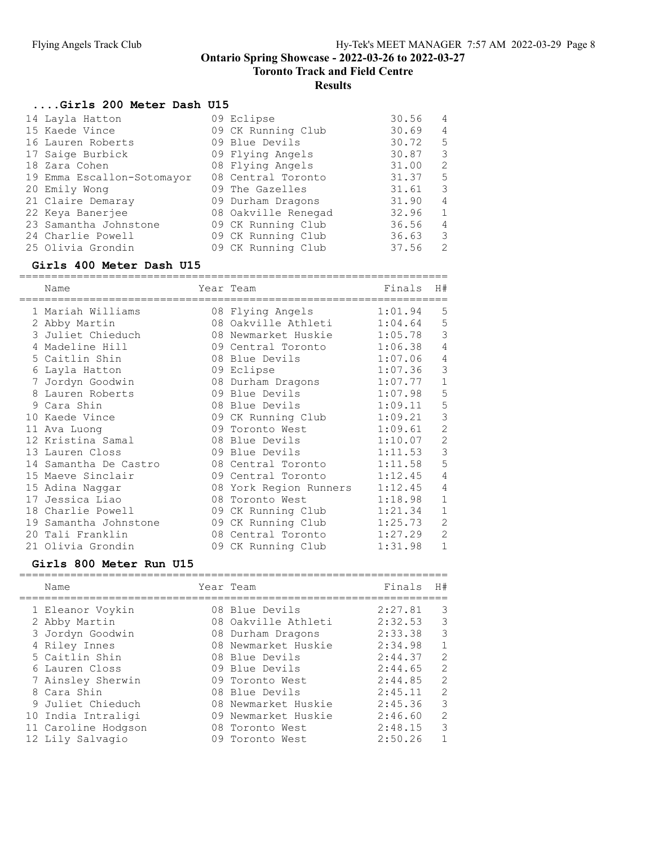Toronto Track and Field Centre

## Results

## ....Girls 200 Meter Dash U15

|  | 14 Layla Hatton            | 09 Eclipse          | 30.56 | 4              |
|--|----------------------------|---------------------|-------|----------------|
|  | 15 Kaede Vince             | 09 CK Running Club  | 30.69 | 4              |
|  | 16 Lauren Roberts          | 09 Blue Devils      | 30.72 | -5             |
|  | 17 Saige Burbick           | 09 Flying Angels    | 30.87 | 3              |
|  | 18 Zara Cohen              | 08 Flying Angels    | 31.00 | 2              |
|  | 19 Emma Escallon-Sotomayor | 08 Central Toronto  | 31.37 | -5             |
|  | 20 Emily Wong              | 09 The Gazelles     | 31.61 | 3              |
|  | 21 Claire Demaray          | 09 Durham Dragons   | 31.90 | 4              |
|  | 22 Keya Banerjee           | 08 Oakville Renegad | 32.96 | 1              |
|  | 23 Samantha Johnstone      | 09 CK Running Club  | 36.56 | $\overline{4}$ |
|  | 24 Charlie Powell          | 09 CK Running Club  | 36.63 | 3              |
|  | 25 Olivia Grondin          | 09 CK Running Club  | 37.56 | 2              |
|  |                            |                     |       |                |

### Girls 400 Meter Dash U15

|   | ---------------------------------- |                        |         |                |
|---|------------------------------------|------------------------|---------|----------------|
|   | Name<br>------------------         | Year Team              | Finals  | H#             |
|   | 1 Mariah Williams                  | 08 Flying Angels       | 1:01.94 | 5              |
|   | 2 Abby Martin                      | 08 Oakville Athleti    | 1:04.64 | 5              |
|   | 3 Juliet Chieduch                  | 08 Newmarket Huskie    | 1:05.78 | 3              |
|   | 4 Madeline Hill                    | 09 Central Toronto     | 1:06.38 | 4              |
|   | 5 Caitlin Shin                     | 08 Blue Devils         | 1:07.06 | $\overline{4}$ |
| 6 | Layla Hatton                       | 09 Eclipse             | 1:07.36 | 3              |
|   | 7 Jordyn Goodwin                   | 08 Durham Dragons      | 1:07.77 | $\mathbf 1$    |
| 8 | Lauren Roberts                     | 09 Blue Devils         | 1:07.98 | 5              |
|   | 9 Cara Shin                        | 08 Blue Devils         | 1:09.11 | 5              |
|   | 10 Kaede Vince                     | 09 CK Running Club     | 1:09.21 | 3              |
|   | 11 Ava Luong                       | 09 Toronto West        | 1:09.61 | $\overline{2}$ |
|   | 12 Kristina Samal                  | 08 Blue Devils         | 1:10.07 | $\overline{2}$ |
|   | 13 Lauren Closs                    | 09 Blue Devils         | 1:11.53 | 3              |
|   | 14 Samantha De Castro              | 08 Central Toronto     | 1:11.58 | 5              |
|   | 15 Maeve Sinclair                  | 09 Central Toronto     | 1:12.45 | 4              |
|   | 15 Adina Naggar                    | 08 York Region Runners | 1:12.45 | $\overline{4}$ |
|   | 17 Jessica Liao                    | 08 Toronto West        | 1:18.98 | $\mathbf{1}$   |
|   | 18 Charlie Powell                  | 09 CK Running Club     | 1:21.34 | $\mathbf{1}$   |
|   | 19 Samantha Johnstone              | 09 CK Running Club     | 1:25.73 | $\overline{2}$ |
|   | 20 Tali Franklin                   | 08 Central Toronto     | 1:27.29 | $\overline{2}$ |
|   | 21 Olivia Grondin                  | 09 CK Running Club     | 1:31.98 | $\mathbf{1}$   |

### Girls 800 Meter Run U15

| Name                                                                                                                                                                                                             | Year Team                                                                                                                                                                                                                   | Finals                                                                                                                | H#                                                             |
|------------------------------------------------------------------------------------------------------------------------------------------------------------------------------------------------------------------|-----------------------------------------------------------------------------------------------------------------------------------------------------------------------------------------------------------------------------|-----------------------------------------------------------------------------------------------------------------------|----------------------------------------------------------------|
| 1 Eleanor Voykin<br>2 Abby Martin<br>3 Jordyn Goodwin<br>4 Riley Innes<br>5 Caitlin Shin<br>6 Lauren Closs<br>7 Ainsley Sherwin<br>8 Cara Shin<br>9 Juliet Chieduch<br>10 India Intraligi<br>11 Caroline Hodgson | 08 Blue Devils<br>08 Oakville Athleti<br>08 Durham Dragons<br>08 Newmarket Huskie<br>08 Blue Devils<br>09 Blue Devils<br>09 Toronto West<br>08 Blue Devils<br>08 Newmarket Huskie<br>09 Newmarket Huskie<br>08 Toronto West | 2:27.81<br>2:32.53<br>2:33.38<br>2:34.98<br>2:44.37<br>2:44.65<br>2:44.85<br>2:45.11<br>2:45.36<br>2:46.60<br>2:48.15 | 3<br>3<br>3<br>$\mathbf{1}$<br>2<br>2<br>2<br>2<br>3<br>2<br>3 |
| 12 Lily Salvagio                                                                                                                                                                                                 | 09 Toronto West                                                                                                                                                                                                             | 2:50.26                                                                                                               |                                                                |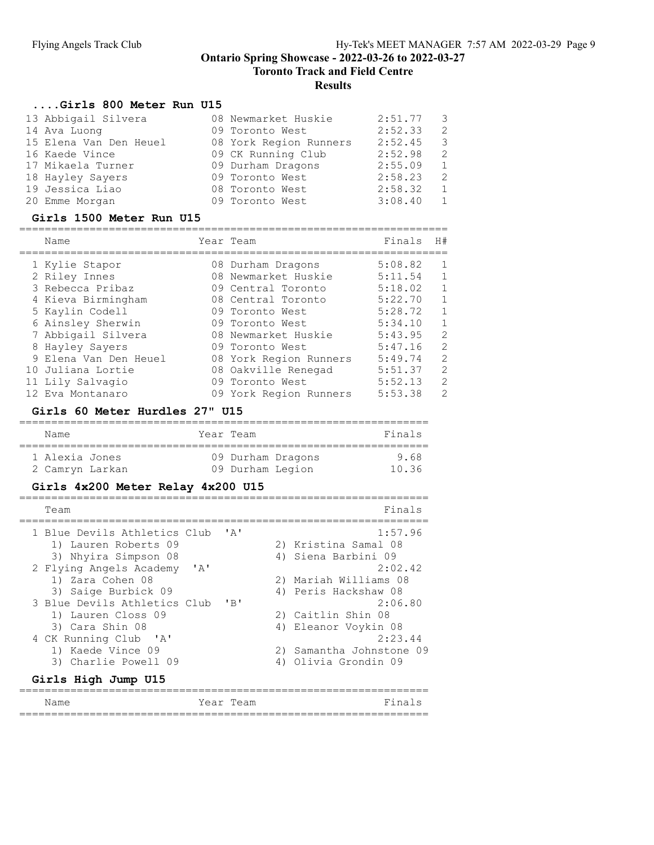Toronto Track and Field Centre

## Results

#### ....Girls 800 Meter Run U15

|  | 2:51.77                                                                                                                                                              | $\mathcal{R}$  |
|--|----------------------------------------------------------------------------------------------------------------------------------------------------------------------|----------------|
|  | 2:52.33                                                                                                                                                              | 2              |
|  | 2:52.45                                                                                                                                                              | -3             |
|  | 2:52.98                                                                                                                                                              | 2              |
|  | 2:55.09                                                                                                                                                              | $\overline{1}$ |
|  | 2:58.23                                                                                                                                                              | 2              |
|  | 2:58.32                                                                                                                                                              | $\overline{1}$ |
|  | 3:08.40                                                                                                                                                              | 1              |
|  | 08 Newmarket Huskie<br>09 Toronto West<br>08 York Region Runners<br>09 CK Running Club<br>09 Durham Dragons<br>09 Toronto West<br>08 Toronto West<br>09 Toronto West |                |

### Girls 1500 Meter Run U15

| Name                  | Year Team              | Finals  | H#            |
|-----------------------|------------------------|---------|---------------|
| 1 Kylie Stapor        | 08 Durham Dragons      | 5:08.82 | -1            |
| 2 Riley Innes         | 08 Newmarket Huskie    | 5:11.54 |               |
| 3 Rebecca Pribaz      | 09 Central Toronto     | 5:18.02 | 1             |
| 4 Kieva Birmingham    | 08 Central Toronto     | 5:22.70 |               |
| 5 Kaylin Codell       | 09 Toronto West        | 5:28.72 | 1             |
| 6 Ainsley Sherwin     | 09 Toronto West        | 5:34.10 | $\mathbf{1}$  |
| 7 Abbigail Silvera    | 08 Newmarket Huskie    | 5:43.95 | $\mathcal{L}$ |
| 8 Hayley Sayers       | 09 Toronto West        | 5:47.16 | $\mathcal{L}$ |
| 9 Elena Van Den Heuel | 08 York Region Runners | 5:49.74 | $\mathcal{L}$ |
| 10 Juliana Lortie     | 08 Oakville Renegad    | 5:51.37 | $\mathcal{L}$ |
| 11 Lily Salvagio      | 09 Toronto West        | 5:52.13 | $\mathcal{L}$ |
| 12 Eva Montanaro      | 09 York Region Runners | 5:53.38 | $\mathcal{P}$ |

### Girls 60 Meter Hurdles 27" U15

| Name            |  | Year Team        |                   | Finals |
|-----------------|--|------------------|-------------------|--------|
| 1 Alexia Jones  |  |                  | 09 Durham Dragons | 968    |
| 2 Camryn Larkan |  | 09 Durham Legion |                   | 10.36  |

## Girls 4x200 Meter Relay 4x200 U15

| Team                         |              |                                | Finals                   |
|------------------------------|--------------|--------------------------------|--------------------------|
| 1 Blue Devils Athletics Club |              | $\mathsf{I} \wedge \mathsf{I}$ | 1:57.96                  |
| 1) Lauren Roberts 09         |              |                                | 2) Kristina Samal 08     |
| 3) Nhyira Simpson 08         |              |                                | 4) Siena Barbini 09      |
| 2 Flying Angels Academy      | $\mathsf{A}$ |                                | 2:02.42                  |
| 1) Zara Cohen 08             |              |                                | 2) Mariah Williams 08    |
| 3) Saige Burbick 09          |              |                                | 4) Peris Hackshaw 08     |
| 3 Blue Devils Athletics Club |              | $'$ B                          | 2:06.80                  |
| 1) Lauren Closs 09           |              |                                | 2) Caitlin Shin 08       |
| 3) Cara Shin 08              |              |                                | 4) Eleanor Voykin 08     |
| 4 CK Running Club 'A'        |              |                                | 2:23.44                  |
| 1) Kaede Vince 09            |              |                                | 2) Samantha Johnstone 09 |
| 3) Charlie Powell 09         |              |                                | 4) Olivia Grondin 09     |
| Girls High Jump U15          |              |                                |                          |
| Name                         |              | Year Team                      | Finals                   |

================================================================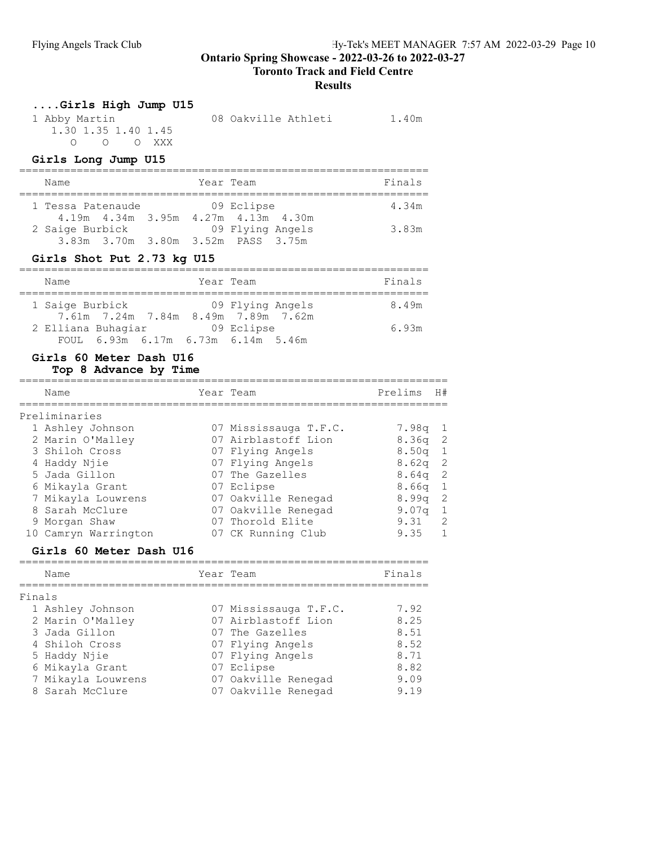## Toronto Track and Field Centre

Results

## ....Girls High Jump U15

| 1 Abby Martin       |  | 08 Oakville Athleti |  | 1.40m |
|---------------------|--|---------------------|--|-------|
| 1.30 1.35 1.40 1.45 |  |                     |  |       |
| OOO XXX             |  |                     |  |       |

### Girls Long Jump U15

| Name                                     | Year Team        | Finals |
|------------------------------------------|------------------|--------|
| 1 Tessa Patenaude                        | 09 Eclipse       | 4.34m  |
| 4.19m  4.34m  3.95m  4.27m  4.13m  4.30m |                  |        |
| 2 Saige Burbick                          | 09 Flying Angels | 3.83m  |
| 3.83m 3.70m 3.80m 3.52m PASS 3.75m       |                  |        |

## Girls Shot Put 2.73 kg U15

| Name               | Year Team                           | Finals |
|--------------------|-------------------------------------|--------|
|                    |                                     |        |
| 1 Saige Burbick    | 09 Flying Angels                    | 8.49m  |
|                    | 7.61m 7.24m 7.84m 8.49m 7.89m 7.62m |        |
| 2 Elliana Buhagiar | 09 Eclipse                          | 6.93m  |
|                    | FOUL 6.93m 6.17m 6.73m 6.14m 5.46m  |        |

### Girls 60 Meter Dash U16

## Top 8 Advance by Time

| $10P$ $0$ and value by $12me$ |                       |                   |               |
|-------------------------------|-----------------------|-------------------|---------------|
| Name                          | Year Team             | Prelims           | H#            |
| Preliminaries                 |                       |                   |               |
| 1 Ashley Johnson              | 07 Mississauga T.F.C. | 7.98q             |               |
| 2 Marin O'Malley              | 07 Airblastoff Lion   | $8.36q$ 2         |               |
| 3 Shiloh Cross                | 07 Flying Angels      | 8.50 <sub>q</sub> |               |
| 4 Haddy Njie                  | 07 Flying Angels      | 8.62 <sub>q</sub> | -2            |
| 5 Jada Gillon                 | 07 The Gazelles       | 8.64 <sub>q</sub> | -2            |
| 6 Mikayla Grant               | 07 Eclipse            | 8.66 <sub>q</sub> | 1             |
| 7 Mikayla Louwrens            | 07 Oakville Renegad   | 8.99q             | -2            |
| 8 Sarah McClure               | 07 Oakville Renegad   | 9.07 <sub>q</sub> | 1             |
| 9 Morgan Shaw                 | 07 Thorold Elite      | 9.31              | $\mathcal{L}$ |
| 10 Camryn Warrington          | 07 CK Running Club    | 9.35              |               |

### Girls 60 Meter Dash U16

|        | Name               | Year Team |                       | Finals |
|--------|--------------------|-----------|-----------------------|--------|
|        |                    |           |                       |        |
| Finals |                    |           |                       |        |
|        | 1 Ashley Johnson   |           | 07 Mississauga T.F.C. | 7.92   |
|        | 2 Marin O'Malley   |           | 07 Airblastoff Lion   | 8.25   |
|        | 3 Jada Gillon      |           | 07 The Gazelles       | 8.51   |
|        | 4 Shiloh Cross     |           | 07 Flying Angels      | 8.52   |
|        | 5 Haddy Njie       |           | 07 Flying Angels      | 8.71   |
|        | 6 Mikayla Grant    |           | 07 Eclipse            | 8.82   |
|        | 7 Mikayla Louwrens |           | 07 Oakville Renegad   | 9.09   |
|        | 8 Sarah McClure    |           | 07 Oakville Renegad   | 9.19   |
|        |                    |           |                       |        |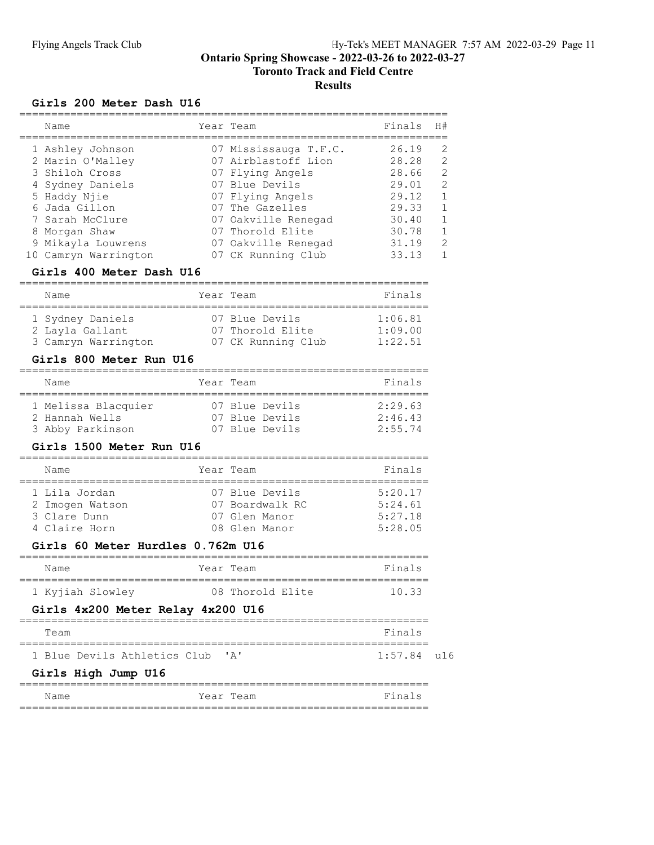# Toronto Track and Field Centre

## Results

## Girls 200 Meter Dash U16

| Name                 | Year Team             | Finals | H#             |
|----------------------|-----------------------|--------|----------------|
| 1 Ashley Johnson     | 07 Mississauga T.F.C. | 26.19  | $\mathcal{L}$  |
| 2 Marin O'Malley     | 07 Airblastoff Lion   | 28.28  | 2              |
| 3 Shiloh Cross       | 07 Flying Angels      | 28.66  | 2              |
| 4 Sydney Daniels     | 07 Blue Devils        | 29.01  | 2              |
| 5 Haddy Njie         | 07 Flying Angels      | 29.12  | $\overline{1}$ |
| 6 Jada Gillon        | 07 The Gazelles       | 29.33  |                |
| 7 Sarah McClure      | 07 Oakville Renegad   | 30.40  |                |
| 8 Morgan Shaw        | 07 Thorold Elite      | 30.78  |                |
| 9 Mikayla Louwrens   | 07 Oakville Renegad   | 31.19  | 2              |
| 10 Camryn Warrington | 07 CK Running Club    | 33.13  |                |

### Girls 400 Meter Dash U16

| Name                                                       |  | Year Team                                                | Finals                        |  |  |
|------------------------------------------------------------|--|----------------------------------------------------------|-------------------------------|--|--|
| 1 Sydney Daniels<br>2 Layla Gallant<br>3 Camryn Warrington |  | 07 Blue Devils<br>07 Thorold Elite<br>07 CK Running Club | 1:06.81<br>1:09.00<br>1:22.51 |  |  |

### Girls 800 Meter Run U16

| Name                | Year Team |                | Finals  |
|---------------------|-----------|----------------|---------|
| 1 Melissa Blacquier |           | 07 Blue Devils | 2:29.63 |
| 2 Hannah Wells      |           | 07 Blue Devils | 2:46.43 |
| 3 Abby Parkinson    |           | 07 Blue Devils | 2:55.74 |

### Girls 1500 Meter Run U16

| Name                                                              | Year Team                                                           | Finals                                   |
|-------------------------------------------------------------------|---------------------------------------------------------------------|------------------------------------------|
| 1 Lila Jordan<br>2 Imogen Watson<br>3 Clare Dunn<br>4 Claire Horn | 07 Blue Devils<br>07 Boardwalk RC<br>07 Glen Manor<br>08 Glen Manor | 5:20.17<br>5:24.61<br>5:27.18<br>5:28.05 |

## Girls 60 Meter Hurdles 0.762m U16

| Name             | Year Team        | Finals |
|------------------|------------------|--------|
| 1 Kyjiah Slowley | 08 Thorold Elite | 10 33  |

## Girls 4x200 Meter Relay 4x200 U16

| Team                             |  | Finals          |  |  |
|----------------------------------|--|-----------------|--|--|
| 1 Blue Devils Athletics Club 'A' |  | $1:57.84$ $116$ |  |  |
|                                  |  |                 |  |  |

### Girls High Jump U16

| Name | Year Team | $Findn=1$<br>$\sim$ |  |  |  |
|------|-----------|---------------------|--|--|--|
|      |           |                     |  |  |  |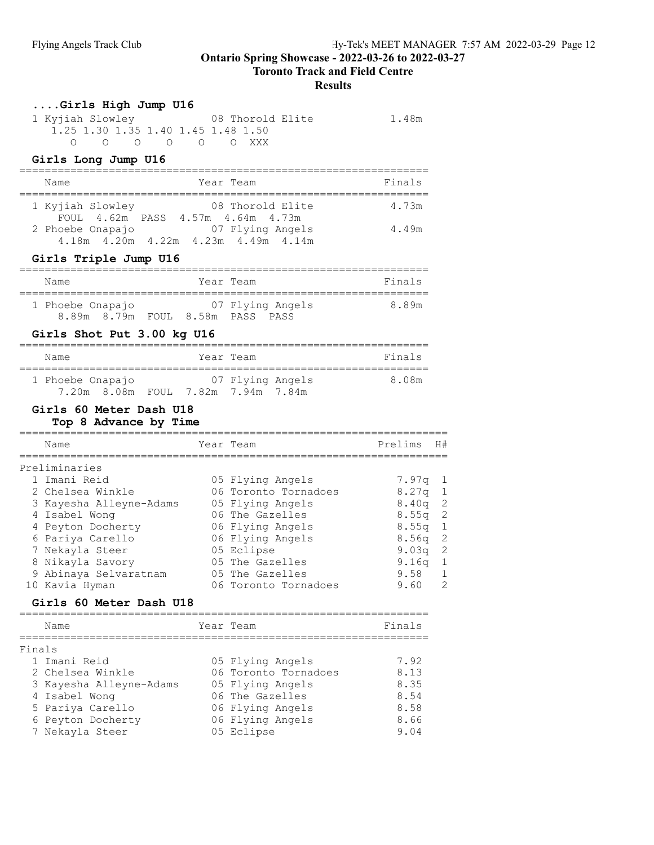#### Toronto Track and Field Centre

Results

|        | Girls High Jump U16<br>1 Kyjiah Slowley 108 Thorold Elite<br>1.25 1.30 1.35 1.40 1.45 1.48 1.50<br>$\Omega$<br>$\overline{O}$<br>$\overline{O}$<br>0<br>Girls Long Jump U16 | $\overline{O}$ | O XXX                                | 1.48m          |                               |
|--------|-----------------------------------------------------------------------------------------------------------------------------------------------------------------------------|----------------|--------------------------------------|----------------|-------------------------------|
|        | Name                                                                                                                                                                        | Year Team      |                                      | Finals         |                               |
|        | 1 Kyjiah Slowley<br>4.62m PASS 4.57m 4.64m<br>FOUL                                                                                                                          |                | 08 Thorold Elite<br>4.73m            | 4.73m          |                               |
|        | 2 Phoebe Onapajo 67 Flying Angels<br>4.18m  4.20m  4.22m  4.23m  4.49m  4.14m                                                                                               |                |                                      | 4.49m          |                               |
|        | Girls Triple Jump U16                                                                                                                                                       |                | :=============                       |                |                               |
|        | Name                                                                                                                                                                        | Year Team      |                                      | Finals         |                               |
|        | 1 Phoebe Onapajo 67 Flying Angels<br>8.89m 8.79m FOUL 8.58m PASS PASS                                                                                                       |                |                                      | 8.89m          |                               |
|        | Girls Shot Put 3.00 kg U16                                                                                                                                                  |                |                                      |                |                               |
|        | Name                                                                                                                                                                        |                | Year Team                            | Finals         |                               |
|        | 1 Phoebe Onapajo 67 Flying Angels<br>7.20m 8.08m FOUL 7.82m 7.94m 7.84m                                                                                                     |                |                                      | 8.08m          |                               |
|        | Girls 60 Meter Dash U18<br>Top 8 Advance by Time                                                                                                                            |                |                                      |                |                               |
|        | Name                                                                                                                                                                        | Year Team      |                                      | Prelims        | H#                            |
|        | Preliminaries                                                                                                                                                               |                |                                      |                |                               |
|        | 1 Imani Reid                                                                                                                                                                |                | 05 Flying Angels                     | 7.97q          | 1                             |
|        | 2 Chelsea Winkle                                                                                                                                                            |                | 06 Toronto Tornadoes                 | 8.27q          | 1                             |
|        | 3 Kayesha Alleyne-Adams                                                                                                                                                     |                | 05 Flying Angels                     | 8.40q          | 2                             |
|        | 4 Isabel Wong                                                                                                                                                               |                | 06 The Gazelles                      | 8.55q          | $\mathbf{2}$                  |
|        | 4 Peyton Docherty<br>6 Pariya Carello                                                                                                                                       |                | 06 Flying Angels<br>06 Flying Angels | 8.55q<br>8.56q | $\mathbf 1$<br>$\overline{c}$ |
|        | 7 Nekayla Steer                                                                                                                                                             |                | 05 Eclipse                           | 9.03q          | 2                             |
|        | 8 Nikayla Savory                                                                                                                                                            |                | 05 The Gazelles                      | 9.16q          | 1                             |
|        | 9 Abinaya Selvaratnam                                                                                                                                                       |                | 05 The Gazelles                      | 9.58           | $\mathbf{1}$                  |
|        | 10 Kavia Hyman                                                                                                                                                              |                | 06 Toronto Tornadoes                 | 9.60           | 2                             |
|        | Girls 60 Meter Dash U18                                                                                                                                                     |                | ============                         |                |                               |
|        | Name                                                                                                                                                                        |                | Year Team                            | Finals         |                               |
| Finals |                                                                                                                                                                             |                |                                      |                |                               |
|        |                                                                                                                                                                             |                | 05 Flying Angels                     | 7.92           |                               |
|        |                                                                                                                                                                             |                |                                      |                |                               |
|        | 1 Imani Reid<br>2 Chelsea Winkle                                                                                                                                            |                | 06 Toronto Tornadoes                 |                |                               |
|        |                                                                                                                                                                             |                |                                      | 8.13<br>8.35   |                               |
|        | 3 Kayesha Alleyne-Adams                                                                                                                                                     |                | 05 Flying Angels<br>06 The Gazelles  | 8.54           |                               |
|        | 4 Isabel Wong<br>5 Pariya Carello                                                                                                                                           |                | 06 Flying Angels                     | 8.58           |                               |
|        | 6 Peyton Docherty<br>7 Nekayla Steer                                                                                                                                        |                | 06 Flying Angels<br>05 Eclipse       | 8.66<br>9.04   |                               |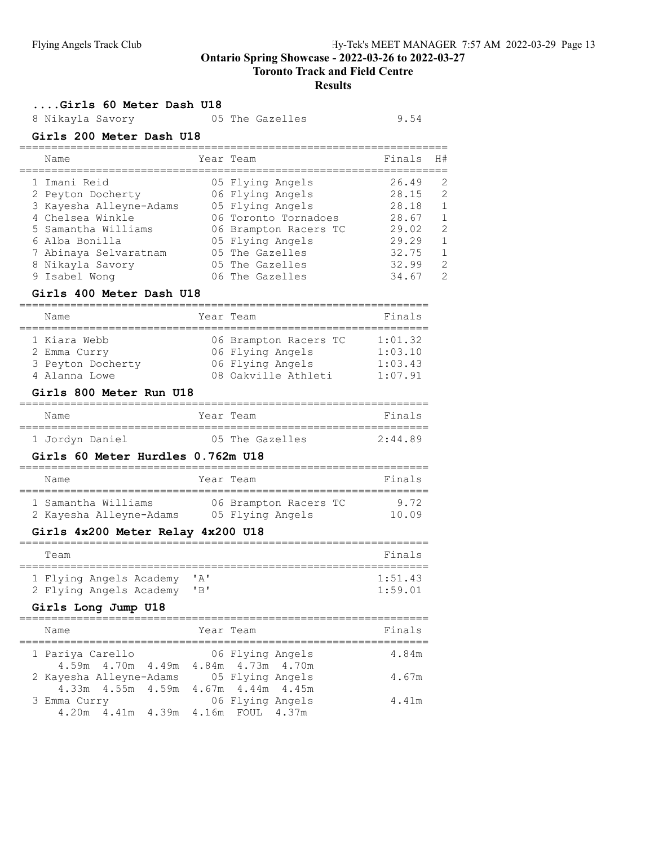# Toronto Track and Field Centre

## Results

#### ....Girls 60 Meter Dash U18

| 8 Nikayla Savory | 05 The Gazelles | 9.54 |
|------------------|-----------------|------|
|------------------|-----------------|------|

#### Girls 200 Meter Dash U18

| Name                    | Year Team             | Finals | H#           |
|-------------------------|-----------------------|--------|--------------|
| 1 Imani Reid            | 05 Flying Angels      | 26.49  | 2            |
| 2 Peyton Docherty       | 06 Flying Angels      | 28.15  | 2            |
| 3 Kayesha Alleyne-Adams | 05 Flying Angels      | 28.18  | -1           |
| 4 Chelsea Winkle        | 06 Toronto Tornadoes  | 28.67  | -1           |
| 5 Samantha Williams     | 06 Brampton Racers TC | 29.02  | 2            |
| 6 Alba Bonilla          | 05 Flying Angels      | 29.29  | $\mathbf{1}$ |
| 7 Abinaya Selvaratnam   | 05 The Gazelles       | 32.75  | $\mathbf{1}$ |
| 8 Nikayla Savory        | 05 The Gazelles       | 32.99  | 2            |
| 9 Isabel Wong           | 06 The Gazelles       | 34.67  | 2            |

#### Girls 400 Meter Dash U18

| Name              | Year Team |                       | Finals  |
|-------------------|-----------|-----------------------|---------|
|                   |           |                       |         |
| 1 Kiara Webb      |           | 06 Brampton Racers TC | 1:01.32 |
| 2 Emma Curry      |           | 06 Flying Angels      | 1:03.10 |
| 3 Peyton Docherty |           | 06 Flying Angels      | 1:03.43 |
| 4 Alanna Lowe     |           | 08 Oakville Athleti   | 1:07.91 |

### Girls 800 Meter Run U18

| Name            | Year Team       | Finals  |
|-----------------|-----------------|---------|
|                 |                 |         |
| 1 Jordyn Daniel | 05 The Gazelles | 2:44.89 |

#### Girls 60 Meter Hurdles 0.762m U18

| Name                                           | Year Team                                 | Finals        |
|------------------------------------------------|-------------------------------------------|---------------|
| 1 Samantha Williams<br>2 Kayesha Alleyne-Adams | 06 Brampton Racers TC<br>05 Flying Angels | 9.72<br>10.09 |

### Girls 4x200 Meter Relay 4x200 U18

| Team |                         |                                | Finals          |
|------|-------------------------|--------------------------------|-----------------|
|      | 1 Flying Angels Academy | $\mathsf{I} \wedge \mathsf{I}$ | $1 \cdot 51$ 43 |
|      | 2 Flying Angels Academy | $'$ B $'$                      | 1.59.01         |

#### Girls Long Jump U18

| Name                                                                | Year Team        | Finals |
|---------------------------------------------------------------------|------------------|--------|
| 1 Pariya Carello<br>4.59m  4.70m  4.49m  4.84m  4.73m  4.70m        | 06 Flying Angels | 4.84m  |
| 2 Kayesha Alleyne-Adams<br>4.33m  4.55m  4.59m  4.67m  4.44m  4.45m | 05 Flying Angels | 4.67m  |
| 3 Emma Curry<br>4.20m  4.41m  4.39m  4.16m  FOUL  4.37m             | 06 Flying Angels | 4.41m  |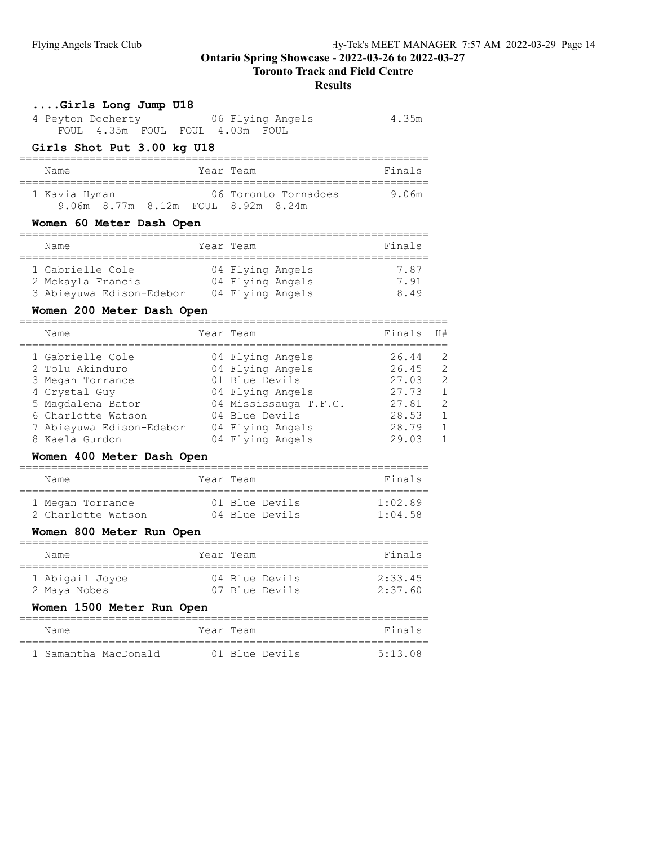Toronto Track and Field Centre

### **Results**

# ....Girls Long Jump U18

| 4 Peyton Docherty |                                 |  | 06 Flying Angels | 4.35m |
|-------------------|---------------------------------|--|------------------|-------|
|                   | FOUL 4.35m FOUL FOUL 4.03m FOUL |  |                  |       |

## Girls Shot Put 3.00 kg U18

| Name          |  | Year Team |                                     | Finals |
|---------------|--|-----------|-------------------------------------|--------|
| 1 Kavia Hyman |  |           | 06 Toronto Tornadoes                | 9.06m  |
|               |  |           | 9.06m 8.77m 8.12m FOUT, 8.92m 8.24m |        |

### Women 60 Meter Dash Open

| Name                     | Year Team        | Finals |
|--------------------------|------------------|--------|
| 1 Gabrielle Cole         | 04 Flying Angels | 7.87   |
| 2 Mckayla Francis        | 04 Flying Angels | 7.91   |
| 3 Abieyuwa Edison-Edebor | 04 Flying Angels | 8.49   |

## Women 200 Meter Dash Open

| Name                     | Year Team             | Finals | H#             |
|--------------------------|-----------------------|--------|----------------|
| 1 Gabrielle Cole         | 04 Flying Angels      | 26.44  | 2              |
| 2 Tolu Akinduro          | 04 Flying Angels      | 26.45  | 2              |
| 3 Megan Torrance         | 01 Blue Devils        | 27.03  | $\mathcal{P}$  |
| 4 Crystal Guy            | 04 Flying Angels      | 27.73  |                |
| 5 Magdalena Bator        | 04 Mississauga T.F.C. | 27.81  | $\overline{2}$ |
| 6 Charlotte Watson       | 04 Blue Devils        | 28.53  |                |
| 7 Abieyuwa Edison-Edebor | 04 Flying Angels      | 28.79  |                |
| 8 Kaela Gurdon           | 04 Flying Angels      | 29.03  |                |

### Women 400 Meter Dash Open

| Name               | Year Team |                | Finals  |
|--------------------|-----------|----------------|---------|
| 1 Megan Torrance   |           | 01 Blue Devils | 1.02.89 |
| 2 Charlotte Watson |           | 04 Blue Devils | 1:04.58 |

### Women 800 Meter Run Open

| Name            | Year Team      | Finals          |
|-----------------|----------------|-----------------|
| 1 Abigail Joyce | 04 Blue Devils | 2.3345          |
| 2 Maya Nobes    | 07 Blue Devils | $2 \cdot 37.60$ |

### Women 1500 Meter Run Open

| Name |                      | Year Team |                | Finals  |
|------|----------------------|-----------|----------------|---------|
|      |                      |           |                |         |
|      | 1 Samantha MacDonald |           | 01 Blue Devils | 5.13 08 |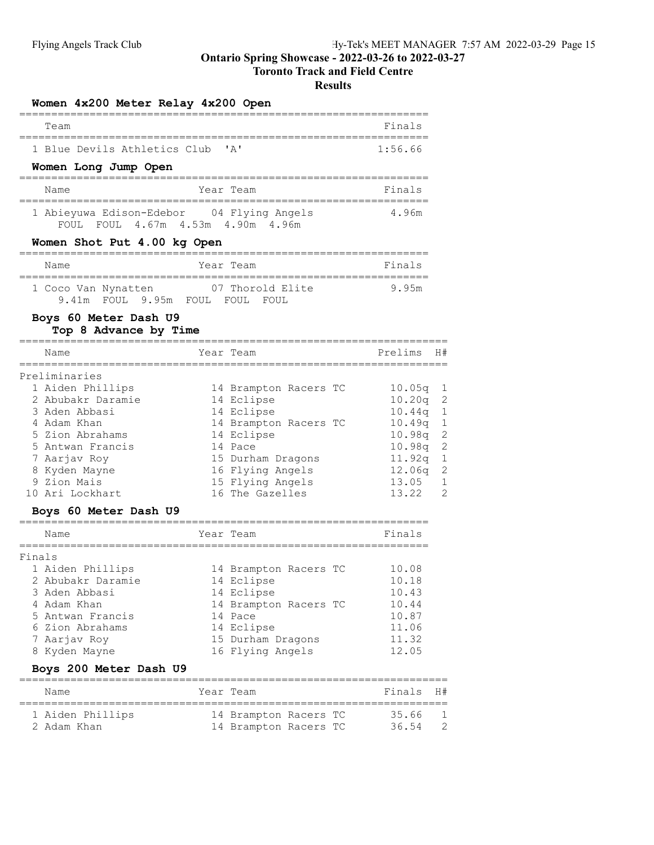#### Toronto Track and Field Centre

## Results

| Women 4x200 Meter Relay 4x200 Open                                                |           |                                     |                |                |
|-----------------------------------------------------------------------------------|-----------|-------------------------------------|----------------|----------------|
| Team                                                                              |           |                                     | Finals         |                |
| 1 Blue Devils Athletics Club                                                      |           | ' A'                                | 1:56.66        |                |
| Women Long Jump Open                                                              |           |                                     |                |                |
| Name                                                                              | Year Team |                                     | Finals         |                |
| 1 Abieyuwa Edison-Edebor 04 Flying Angels<br>FOUL 4.67m 4.53m 4.90m 4.96m<br>FOUL |           |                                     | 4.96m          |                |
| Women Shot Put 4.00 kg Open                                                       |           |                                     |                |                |
| Name                                                                              |           | Year Team                           | Finals         |                |
| 1 Coco Van Nynatten 07 Thorold Elite<br>9.41m FOUL 9.95m FOUL FOUL FOUL           |           |                                     | 9.95m          |                |
| Boys 60 Meter Dash U9<br>Top 8 Advance by Time                                    |           |                                     |                |                |
| Name                                                                              |           | Year Team                           | Prelims        | H#             |
| Preliminaries                                                                     |           |                                     |                |                |
| 1 Aiden Phillips                                                                  |           | 14 Brampton Racers TC               | 10.05q         | 1              |
| 2 Abubakr Daramie                                                                 |           | 14 Eclipse                          | 10.20q         | $\mathbf{2}$   |
| 3 Aden Abbasi                                                                     |           | 14 Eclipse                          | 10.44q         | 1              |
| 4 Adam Khan                                                                       |           | 14 Brampton Racers TC               | 10.49q         | $\mathbf 1$    |
| 5 Zion Abrahams                                                                   |           | 14 Eclipse                          | 10.98q         | $\mathbf{2}$   |
| 5 Antwan Francis                                                                  |           | 14 Pace                             | 10.98q         | $\overline{c}$ |
| 7 Aarjav Roy                                                                      |           | 15 Durham Dragons                   | 11.92q         | $\mathbf 1$    |
| 8 Kyden Mayne                                                                     |           | 16 Flying Angels                    | 12.06g         | $\mathbf{2}$   |
| 9 Zion Mais                                                                       |           | 15 Flying Angels                    | 13.05          | 1<br>2         |
| 10 Ari Lockhart<br>Boys 60 Meter Dash U9                                          |           | 16 The Gazelles                     | 13.22          |                |
|                                                                                   |           |                                     |                |                |
| Name                                                                              |           | Year Team                           | Finals         |                |
| Finals                                                                            |           |                                     |                |                |
| 1 Aiden Phillips                                                                  |           | 14 Brampton Racers TC               | 10.08          |                |
| 2 Abubakr Daramie<br>3 Aden Abbasi                                                |           | 14 Eclipse                          | 10.18          |                |
| 4 Adam Khan                                                                       |           | 14 Eclipse<br>14 Brampton Racers TC | 10.43<br>10.44 |                |
| 5 Antwan Francis                                                                  |           | 14 Pace                             | 10.87          |                |
| 6 Zion Abrahams                                                                   |           | 14 Eclipse                          | 11.06          |                |
| 7 Aarjav Roy                                                                      |           | 15 Durham Dragons                   | 11.32          |                |
| 8 Kyden Mayne                                                                     |           | 16 Flying Angels                    | 12.05          |                |
| Boys 200 Meter Dash U9                                                            |           |                                     |                |                |
| Name                                                                              |           | ========<br>Year Team               | Finals         | H#             |
| 1 Aiden Phillips                                                                  |           | 14 Brampton Racers TC               | 35.66          |                |

2 Adam Khan 14 Brampton Racers TC 36.54 2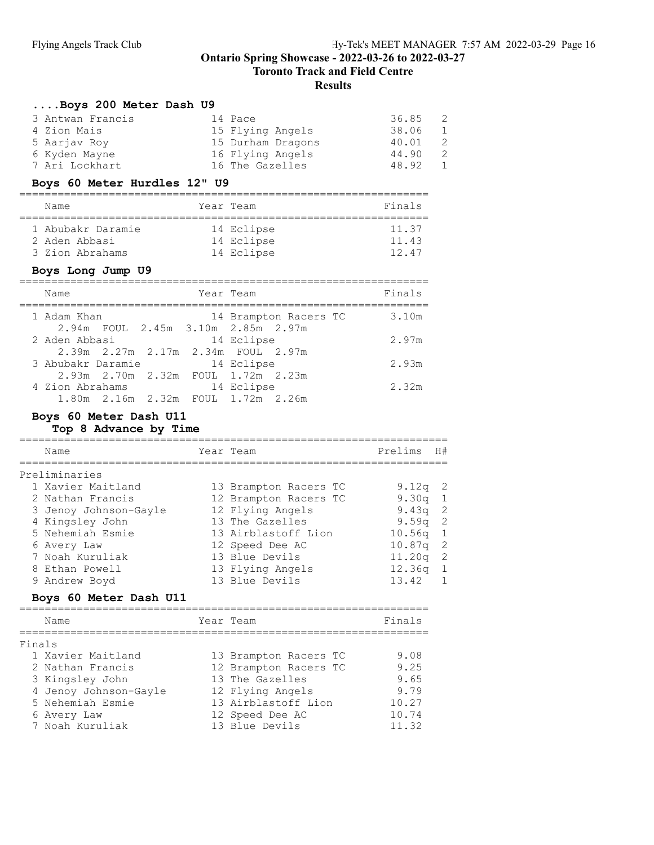Toronto Track and Field Centre

### Results

### ....Boys 200 Meter Dash U9

| 3 Antwan Francis | 14 Pace           | 36.85<br>2            |   |
|------------------|-------------------|-----------------------|---|
| 4 Zion Mais      | 15 Flying Angels  | 38.06<br>$\mathbf{1}$ |   |
| 5 Aarjav Roy     | 15 Durham Dragons | 40.01                 | 2 |
| 6 Kyden Mayne    | 16 Flying Angels  | 44.90                 | 2 |
| 7 Ari Lockhart   | 16 The Gazelles   | 48.92<br>1            |   |

#### Boys 60 Meter Hurdles 12" U9

| Name                               | Year Team                | Finals         |
|------------------------------------|--------------------------|----------------|
| 1 Abubakr Daramie<br>2 Aden Abbasi | 14 Eclipse<br>14 Eclipse | 11.37<br>11.43 |
| 3 Zion Abrahams                    | 14 Eclipse               | 12 47          |

### Boys Long Jump U9

| Name              |  | Year Team                          | Finals |
|-------------------|--|------------------------------------|--------|
| 1 Adam Khan       |  | 14 Brampton Racers TC              | 3.10m  |
|                   |  | 2.94m FOUL 2.45m 3.10m 2.85m 2.97m |        |
| 2 Aden Abbasi     |  | 14 Eclipse                         | 2.97m  |
|                   |  | 2.39m 2.27m 2.17m 2.34m FOUL 2.97m |        |
| 3 Abubakr Daramie |  | 14 Eclipse                         | 2.93m  |
|                   |  | 2.93m 2.70m 2.32m FOUL 1.72m 2.23m |        |
| 4 Zion Abrahams   |  | 14 Eclipse                         | 2.32m  |
|                   |  | 1.80m 2.16m 2.32m FOUL 1.72m 2.26m |        |

### Boys 60 Meter Dash U11

## Top 8 Advance by Time

|  | Prelims                                                                                                                                                                                                                                                                                                    | H#         |
|--|------------------------------------------------------------------------------------------------------------------------------------------------------------------------------------------------------------------------------------------------------------------------------------------------------------|------------|
|  |                                                                                                                                                                                                                                                                                                            |            |
|  | 9.12 $q$ 2                                                                                                                                                                                                                                                                                                 |            |
|  | 9.30 $q$ 1                                                                                                                                                                                                                                                                                                 |            |
|  | 9.43 $q$ 2                                                                                                                                                                                                                                                                                                 |            |
|  | $9.59q$ 2                                                                                                                                                                                                                                                                                                  |            |
|  |                                                                                                                                                                                                                                                                                                            |            |
|  | $10.87q$ 2                                                                                                                                                                                                                                                                                                 |            |
|  | $11.20q$ 2                                                                                                                                                                                                                                                                                                 |            |
|  | $12.36q$ 1                                                                                                                                                                                                                                                                                                 |            |
|  | 13.42                                                                                                                                                                                                                                                                                                      | 1          |
|  |                                                                                                                                                                                                                                                                                                            |            |
|  | Finals                                                                                                                                                                                                                                                                                                     |            |
|  |                                                                                                                                                                                                                                                                                                            |            |
|  | 9.08                                                                                                                                                                                                                                                                                                       |            |
|  | 9.25                                                                                                                                                                                                                                                                                                       |            |
|  | 9.65                                                                                                                                                                                                                                                                                                       |            |
|  | 9.79                                                                                                                                                                                                                                                                                                       |            |
|  | Year Team<br>13 Brampton Racers TC<br>12 Brampton Racers TC<br>12 Flying Angels<br>13 The Gazelles<br>13 Airblastoff Lion<br>12 Speed Dee AC<br>13 Blue Devils<br>13 Flying Angels<br>13 Blue Devils<br>Year Team<br>13 Brampton Racers TC<br>12 Brampton Racers TC<br>13 The Gazelles<br>12 Flying Angels | $10.56q$ 1 |

 5 Nehemiah Esmie 13 Airblastoff Lion 10.27 6 Avery Law 12 Speed Dee AC 10.74 7 Noah Kuruliak 13 Blue Devils 11.32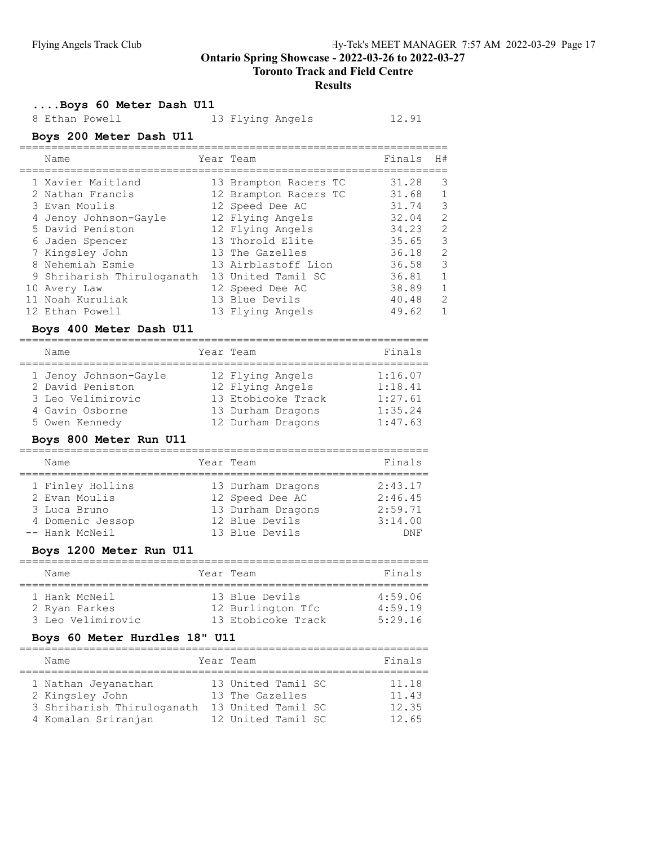## Ontario Spring Showcase - 2022-03-26 to 2022-03-27 Toronto Track and Field Centre

## Results

.... Boys 60 Meter Dash U11<br>8 Ethan Powell 1 13 Flying Angels 12.91 Boys 200 Meter Dash U11

| Name                       | Year Team             | Finals | H#           |
|----------------------------|-----------------------|--------|--------------|
| 1 Xavier Maitland          | 13 Brampton Racers TC | 31.28  | 3            |
| 2 Nathan Francis           | 12 Brampton Racers TC | 31.68  | $\mathbf{1}$ |
| 3 Evan Moulis              | 12 Speed Dee AC       | 31.74  | 3            |
| 4 Jenoy Johnson-Gayle      | 12 Flying Angels      | 32.04  | 2            |
| 5 David Peniston           | 12 Flying Angels      | 34.23  | 2            |
| 6 Jaden Spencer            | 13 Thorold Elite      | 35.65  | 3            |
| 7 Kingsley John            | 13 The Gazelles       | 36.18  | 2            |
| 8 Nehemiah Esmie           | 13 Airblastoff Lion   | 36.58  | 3            |
| 9 Shriharish Thiruloganath | 13 United Tamil SC    | 36.81  | $\mathbf{1}$ |
| 10 Avery Law               | 12 Speed Dee AC       | 38.89  | $\mathbf{1}$ |
| 11 Noah Kuruliak           | 13 Blue Devils        | 40.48  | 2            |
| 12 Ethan Powell            | 13 Flying Angels      | 49.62  |              |

### Boys 400 Meter Dash U11

| Name                                                                                                | Year Team                                                                                            | Finals                                              |
|-----------------------------------------------------------------------------------------------------|------------------------------------------------------------------------------------------------------|-----------------------------------------------------|
| 1 Jenoy Johnson-Gayle<br>2 David Peniston<br>3 Leo Velimirovic<br>4 Gavin Osborne<br>5 Owen Kennedy | 12 Flying Angels<br>12 Flying Angels<br>13 Etobicoke Track<br>13 Durham Dragons<br>12 Durham Dragons | 1:16.07<br>1:18.41<br>1:27.61<br>1:35.24<br>1:47.63 |

## Boys 800 Meter Run U11

| Name             | Year Team         | Finals     |
|------------------|-------------------|------------|
|                  |                   |            |
| 1 Finley Hollins | 13 Durham Dragons | 2:43.17    |
| 2 Evan Moulis    | 12 Speed Dee AC   | 2:46.45    |
| 3 Luca Bruno     | 13 Durham Dragons | 2:59.71    |
| 4 Domenic Jessop | 12 Blue Devils    | 3:14.00    |
| -- Hank McNeil   | 13 Blue Devils    | <b>DNF</b> |

### Boys 1200 Meter Run U11

| Name              | Year Team          | Finals  |
|-------------------|--------------------|---------|
|                   |                    |         |
| 1 Hank McNeil     | 13 Blue Devils     | 4:59.06 |
| 2 Ryan Parkes     | 12 Burlington Tfc  | 4:59.19 |
| 3 Leo Velimirovic | 13 Etobicoke Track | 5:29.16 |

## Boys 60 Meter Hurdles 18" U11

| Name                                                                                        | Year Team                                                                         | Finals                           |
|---------------------------------------------------------------------------------------------|-----------------------------------------------------------------------------------|----------------------------------|
| 1 Nathan Jeyanathan<br>2 Kingsley John<br>3 Shriharish Thiruloganath<br>4 Komalan Sriranjan | 13 United Tamil SC<br>13 The Gazelles<br>13 United Tamil SC<br>12 United Tamil SC | 11.18<br>11.43<br>12.35<br>12.65 |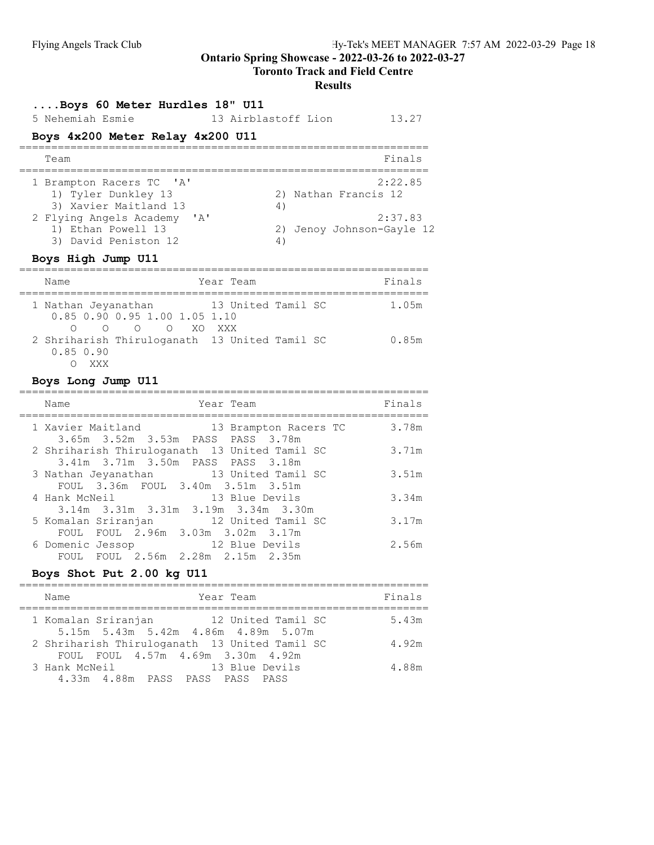# Toronto Track and Field Centre

## Results

# ....Boys 60 Meter Hurdles 18" U11

| 5 Nehemiah Esmie                                                                                                                                  | 13 Airblastoff Lion | 13.27                                                                   |
|---------------------------------------------------------------------------------------------------------------------------------------------------|---------------------|-------------------------------------------------------------------------|
| Boys 4x200 Meter Relay 4x200 U11                                                                                                                  |                     |                                                                         |
| Team                                                                                                                                              |                     | Finals                                                                  |
| 1 Brampton Racers TC 'A'<br>1) Tyler Dunkley 13<br>3) Xavier Maitland 13<br>2 Flying Angels Academy<br>1) Ethan Powell 13<br>3) David Peniston 12 | 4)<br>י ∧ י<br>4    | 2:22.85<br>2) Nathan Francis 12<br>2:37.83<br>2) Jenoy Johnson-Gayle 12 |

## Boys High Jump U11

| Name                                                 |            | Year Team          |  | Finals |
|------------------------------------------------------|------------|--------------------|--|--------|
| 1 Nathan Jeyanathan<br>0.85 0.90 0.95 1.00 1.05 1.10 |            | 13 United Tamil SC |  | 1.05m  |
|                                                      | 000 NXOXXX |                    |  |        |
| 2 Shriharish Thiruloganath 13 United Tamil SC        |            |                    |  | 0.85m  |
| $0.85$ $0.90$                                        |            |                    |  |        |
|                                                      |            |                    |  |        |

### O XXX

## Boys Long Jump U11

| Name                                          |  | Year Team                                             | Finals |
|-----------------------------------------------|--|-------------------------------------------------------|--------|
| 1 Xavier Maitland 13 Brampton Racers TC       |  | 3.65m 3.52m 3.53m PASS PASS 3.78m                     | 3.78m  |
| 2 Shriharish Thiruloganath 13 United Tamil SC |  | 3.41m 3.71m 3.50m PASS PASS 3.18m                     | 3.71m  |
| 3 Nathan Jeyanathan 13 United Tamil SC        |  | FOUL 3.36m FOUL 3.40m 3.51m 3.51m                     | 3.51m  |
| 4 Hank McNeil                                 |  | 13 Blue Devils<br>3.14m 3.31m 3.31m 3.19m 3.34m 3.30m | 3.34m  |
| 5 Komalan Sriranjan 12 United Tamil SC        |  | FOUL FOUL 2.96m 3.03m 3.02m 3.17m                     | 3.17m  |
| 6 Domenic Jessop                              |  | 12 Blue Devils<br>FOUL FOUL 2.56m 2.28m 2.15m 2.35m   | 2.56m  |

# Boys Shot Put 2.00 kg U11

| Year Team<br>Name                                                                                       | Finals |
|---------------------------------------------------------------------------------------------------------|--------|
| 1 Komalan Sriranjan<br>12 United Tamil SC                                                               | 5.43m  |
| 5.15m 5.43m 5.42m 4.86m 4.89m 5.07m                                                                     |        |
| 2 Shriharish Thiruloganath 13 United Tamil SC                                                           | 4.92m  |
|                                                                                                         |        |
|                                                                                                         |        |
| FOUL FOUL 4.57m 4.69m 3.30m 4.92m<br>3 Hank McNeil<br>13 Blue Devils<br>4.33m 4.88m PASS PASS PASS PASS | 4.88m  |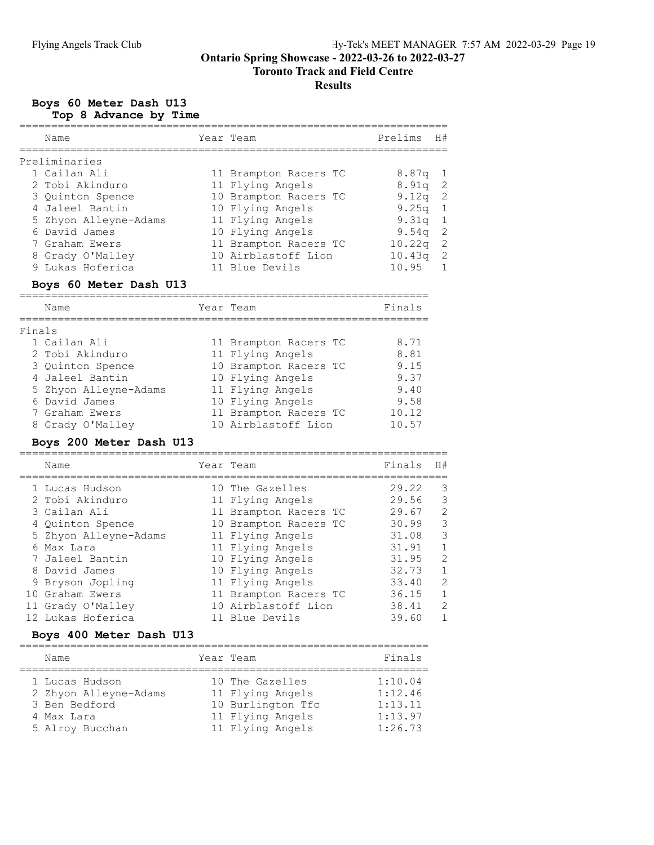#### Toronto Track and Field Centre

#### Results

## Boys 60 Meter Dash U13

Top 8 Advance by Time

| Name                  | Year Team             | Prelims           | H#             |
|-----------------------|-----------------------|-------------------|----------------|
|                       |                       |                   |                |
| Preliminaries         |                       |                   |                |
| 1 Cailan Ali          | 11 Brampton Racers TC | $8.87q$ 1         |                |
| 2 Tobi Akinduro       | 11 Flying Angels      | $8.91q$ 2         |                |
| 3 Quinton Spence      | 10 Brampton Racers TC | 9.12 <sub>q</sub> | - 2            |
| 4 Jaleel Bantin       | 10 Flying Angels      | 9.25q             | - 1            |
| 5 Zhyon Alleyne-Adams | 11 Flying Angels      | $9.31q$ 1         |                |
| 6 David James         | 10 Flying Angels      | 9.54 <sub>q</sub> | - 2            |
| 7 Graham Ewers        | 11 Brampton Racers TC | 10.22q            | $\overline{2}$ |
| 8 Grady O'Malley      | 10 Airblastoff Lion   | 10.43q            | -2             |
| 9 Lukas Hoferica      | 11 Blue Devils        | 10.95             |                |

#### Boys 60 Meter Dash U13

|        | Name                  | Year Team |                       | Finals |
|--------|-----------------------|-----------|-----------------------|--------|
| Finals |                       |           |                       |        |
|        | 1 Cailan Ali          |           | 11 Brampton Racers TC | 8.71   |
|        | 2 Tobi Akinduro       |           | 11 Flying Angels      | 8.81   |
|        | 3 Ouinton Spence      |           | 10 Brampton Racers TC | 9.15   |
|        | 4 Jaleel Bantin       |           | 10 Flying Angels      | 9.37   |
|        | 5 Zhyon Alleyne-Adams |           | 11 Flying Angels      | 9.40   |
|        | 6 David James         |           | 10 Flying Angels      | 9.58   |
|        | 7 Graham Ewers        |           | 11 Brampton Racers TC | 10.12  |
|        | 8 Grady O'Malley      |           | 10 Airblastoff Lion   | 10.57  |

#### Boys 200 Meter Dash U13

=================================================================== Name **Name Manufacture State Team Finals H**# =================================================================== 1 Lucas Hudson 10 The Gazelles 29.22 3 2 Tobi Akinduro 11 Flying Angels 29.56 3 3 Cailan Ali 11 Brampton Racers TC 29.67 2 4 Quinton Spence 10 Brampton Racers TC 30.99 3 5 Zhyon Alleyne-Adams 11 Flying Angels 31.08 3 6 Max Lara 11 Flying Angels 31.91 1 7 Jaleel Bantin 10 Flying Angels 31.95 2 8 David James 10 Flying Angels 32.73 1 9 Bryson Jopling 11 Flying Angels 33.40 2 10 Graham Ewers 11 Brampton Racers TC 36.15 1 11 Grady O'Malley 10 Airblastoff Lion 38.41 2 12 Lukas Hoferica 11 Blue Devils 39.60 1

#### Boys 400 Meter Dash U13

| Name                  | Year Team         | Finals  |
|-----------------------|-------------------|---------|
| 1 Lucas Hudson        | 10 The Gazelles   | 1:10.04 |
| 2 Zhyon Alleyne-Adams | 11 Flying Angels  | 1:12.46 |
| 3 Ben Bedford         | 10 Burlington Tfc | 1:13.11 |
| 4 Max Lara            | 11 Flying Angels  | 1:13.97 |
| 5 Alroy Bucchan       | 11 Flying Angels  | 1:26.73 |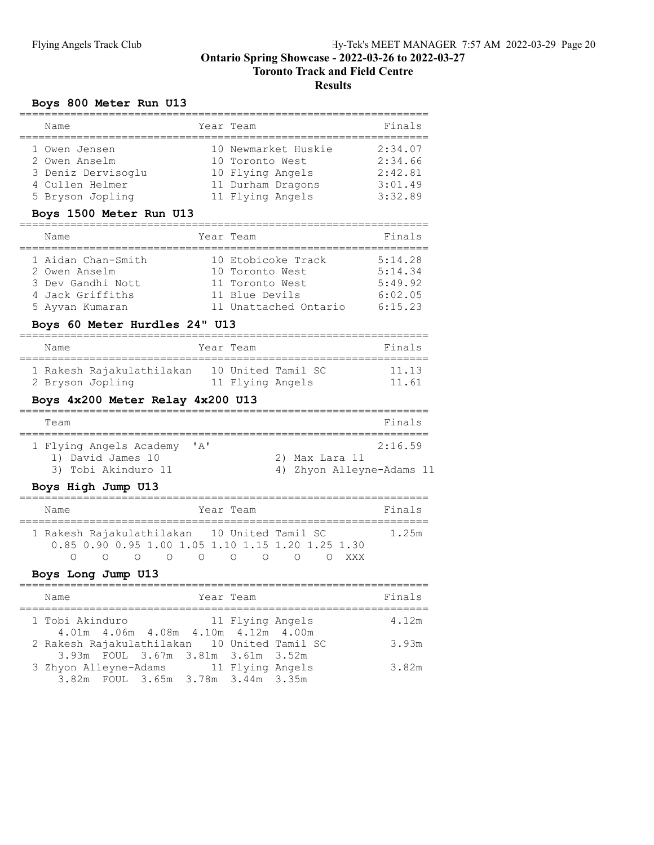# Toronto Track and Field Centre

# Results

# Boys 800 Meter Run U13

| Name                                                                                        | Year Team                                                                                           | Finals                                              |
|---------------------------------------------------------------------------------------------|-----------------------------------------------------------------------------------------------------|-----------------------------------------------------|
| 1 Owen Jensen<br>2 Owen Anselm<br>3 Deniz Dervisoglu<br>4 Cullen Helmer<br>5 Bryson Jopling | 10 Newmarket Huskie<br>10 Toronto West<br>10 Flying Angels<br>11 Durham Dragons<br>11 Flying Angels | 2:34.07<br>2:34.66<br>2:42.81<br>3:01.49<br>3:32.89 |

### Boys 1500 Meter Run U13

| Name               | Year Team             | Finals  |
|--------------------|-----------------------|---------|
|                    |                       |         |
| 1 Aidan Chan-Smith | 10 Etobicoke Track    | 5:14.28 |
| 2 Owen Anselm      | 10 Toronto West       | 5:14.34 |
| 3 Dev Gandhi Nott  | 11 Toronto West       | 5:49.92 |
| 4 Jack Griffiths   | 11 Blue Devils        | 6:02.05 |
| 5 Ayvan Kumaran    | 11 Unattached Ontario | 6:15.23 |

# Boys 60 Meter Hurdles 24" U13

| Name |                                               | Year Team |                  |                    | Finals         |
|------|-----------------------------------------------|-----------|------------------|--------------------|----------------|
|      | 1 Rakesh Rajakulathilakan<br>2 Bryson Jopling |           | 11 Flying Angels | 10 United Tamil SC | 11.13<br>11.61 |

## Boys 4x200 Meter Relay 4x200 U13

| Team                    |                           |                           | Finals  |
|-------------------------|---------------------------|---------------------------|---------|
|                         |                           |                           |         |
| 1 Flying Angels Academy | $\mathsf{r}_{\mathsf{A}}$ |                           | 2:16.59 |
| 1) David James 10       |                           | 2) Max Lara 11            |         |
| 3) Tobi Akinduro 11     |                           | 4) Zhyon Alleyne-Adams 11 |         |

## Boys High Jump U13

| Name |   |   |                      | Year Team |                                              |                                                   |       | Finals |
|------|---|---|----------------------|-----------|----------------------------------------------|---------------------------------------------------|-------|--------|
|      | ( | ( | $\cap$ $\cap$ $\cap$ |           | 1 Rakesh Rajakulathilakan 10 United Tamil SC | 0.85 0.90 0.95 1.00 1.05 1.10 1.15 1.20 1.25 1.30 | XXX X | 1 25m  |

## Boys Long Jump U13

| Name                                                                               | Year Team        | Finals |  |
|------------------------------------------------------------------------------------|------------------|--------|--|
| 1 Tobi Akinduro<br>4.01m  4.06m  4.08m  4.10m  4.12m  4.00m                        | 11 Flying Angels | 4.12m  |  |
| 2 Rakesh Rajakulathilakan 10 United Tamil SC<br>3.93m FOUL 3.67m 3.81m 3.61m 3.52m |                  | 3.93m  |  |
| 3 Zhyon Alleyne-Adams 11 Flying Angels<br>3.82m FOUL 3.65m 3.78m 3.44m 3.35m       |                  | 3.82m  |  |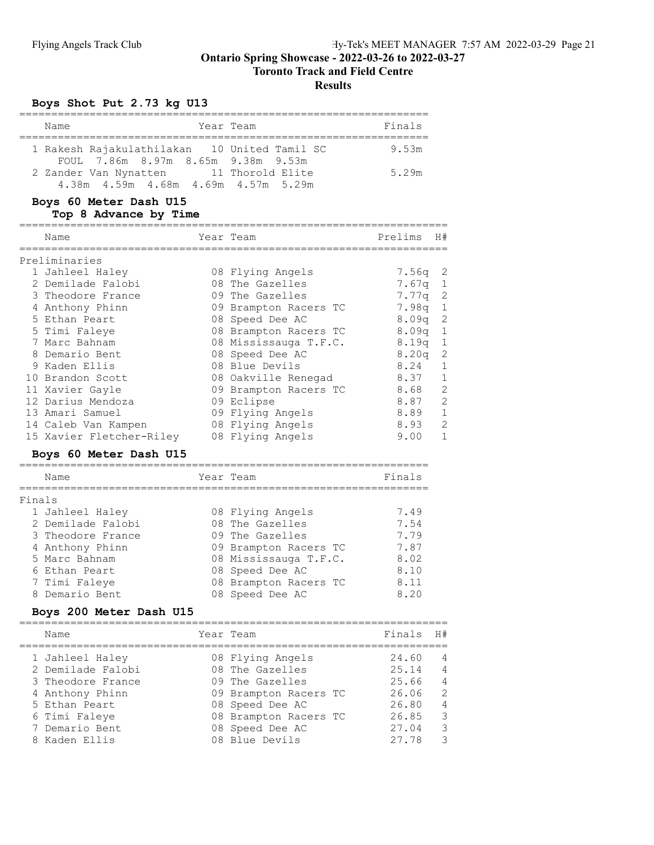## Toronto Track and Field Centre

### Results

## Boys Shot Put 2.73 kg U13

| Name | Year Team                                                                          | Finals |
|------|------------------------------------------------------------------------------------|--------|
|      | 1 Rakesh Rajakulathilakan 10 United Tamil SC<br>FOUL 7.86m 8.97m 8.65m 9.38m 9.53m | 9.53m  |
|      | 2 Zander Van Nynatten 11 Thorold Elite<br>4.38m  4.59m  4.68m  4.69m  4.57m  5.29m | 5.29m  |

# Boys 60 Meter Dash U15

### Top 8 Advance by Time

| Name                     | Year Team             | Prelims   | H#            |
|--------------------------|-----------------------|-----------|---------------|
| Preliminaries            |                       |           |               |
| 1 Jahleel Haley          | 08 Flying Angels      | 7.56g     | -2            |
| 2 Demilade Falobi        | 08 The Gazelles       | 7.67a     | 1             |
| 3 Theodore France        | 09 The Gazelles       | $7.77q$ 2 |               |
| 4 Anthony Phinn          | 09 Brampton Racers TC | 7.98q     | 1             |
| 5 Ethan Peart            | 08 Speed Dee AC       | 8.09a     | -2            |
| 5 Timi Faleye            | 08 Brampton Racers TC | 8.09a     | 1             |
| 7 Marc Bahnam            | 08 Mississauga T.F.C. | 8.19a     | 1             |
| 8 Demario Bent           | 08 Speed Dee AC       | 8.20a     | -2            |
| 9 Kaden Ellis            | 08 Blue Devils        | 8.24      | 1             |
| 10 Brandon Scott         | 08 Oakville Renegad   | 8.37      | $\mathbf{1}$  |
| 11 Xavier Gayle          | 09 Brampton Racers TC | 8.68      | $\mathcal{L}$ |
| 12 Darius Mendoza        | 09 Eclipse            | 8.87      | 2             |
| 13 Amari Samuel          | 09 Flying Angels      | 8.89      | $\mathbf 1$   |
| 14 Caleb Van Kampen      | 08 Flying Angels      | 8.93      | $\mathcal{L}$ |
| 15 Xavier Fletcher-Riley | 08 Flying Angels      | 9.00      | 1             |
| Boys 60 Meter Dash U15   |                       |           |               |

|        | Name              | Year Team |                       | Finals |
|--------|-------------------|-----------|-----------------------|--------|
| Finals |                   |           |                       |        |
|        | 1 Jahleel Haley   |           | 08 Flying Angels      | 7.49   |
|        | 2 Demilade Falobi |           | 08 The Gazelles       | 7.54   |
|        | 3 Theodore France |           | 09 The Gazelles       | 7.79   |
|        | 4 Anthony Phinn   |           | 09 Brampton Racers TC | 7.87   |
|        | 5 Marc Bahnam     |           | 08 Mississauga T.F.C. | 8.02   |
|        | 6 Ethan Peart     |           | 08 Speed Dee AC       | 8.10   |
|        | 7 Timi Faleye     |           | 08 Brampton Racers TC | 8.11   |
|        | 8 Demario Bent    |           | 08 Speed Dee AC       | 8.20   |

## Boys 200 Meter Dash U15

| Name              | Year Team             | Finals | H#             |
|-------------------|-----------------------|--------|----------------|
| 1 Jahleel Halev   | 08 Flying Angels      | 24.60  | 4              |
| 2 Demilade Falobi | 08 The Gazelles       | 25.14  | $\overline{4}$ |
| 3 Theodore France | 09 The Gazelles       | 25.66  | $\overline{4}$ |
| 4 Anthony Phinn   | 09 Brampton Racers TC | 26.06  | 2              |
| 5 Ethan Peart     | 08 Speed Dee AC       | 26.80  | $\overline{4}$ |
| 6 Timi Faleye     | 08 Brampton Racers TC | 26.85  | 3              |
| 7 Demario Bent    | 08 Speed Dee AC       | 27.04  | 3              |
| 8 Kaden Ellis     | 08 Blue Devils        | 27.78  | $\mathcal{R}$  |
|                   |                       |        |                |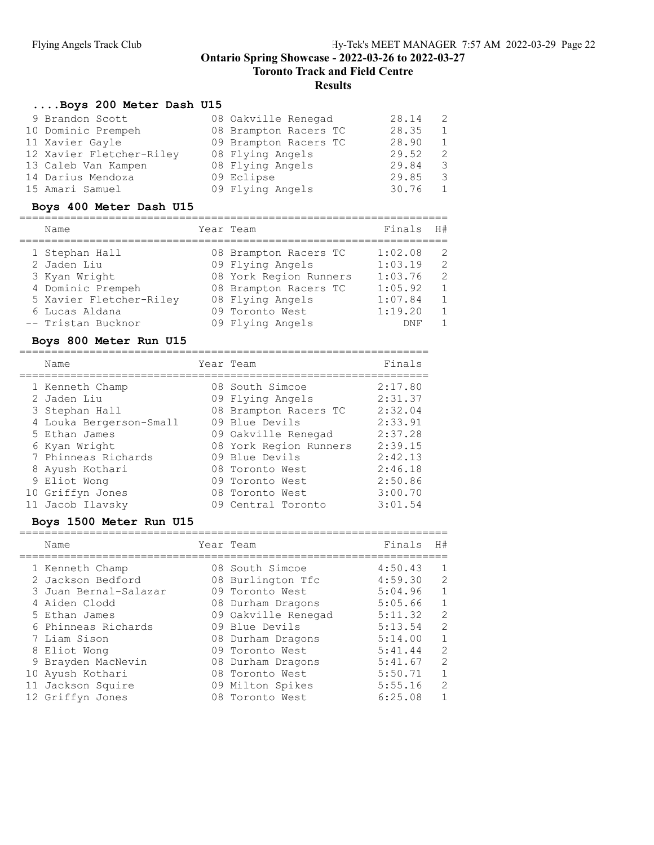Toronto Track and Field Centre

## Results

### ....Boys 200 Meter Dash U15

| 9 Brandon Scott          | 08 Oakville Renegad   | 28.14 | -2.           |
|--------------------------|-----------------------|-------|---------------|
| 10 Dominic Prempeh       | 08 Brampton Racers TC | 28.35 | 1             |
| 11 Xavier Gayle          | 09 Brampton Racers TC | 28.90 | 1             |
| 12 Xavier Fletcher-Riley | 08 Flying Angels      | 29.52 | -2            |
| 13 Caleb Van Kampen      | 08 Flying Angels      | 29.84 | -3            |
| 14 Darius Mendoza        | 09 Eclipse            | 29.85 | $\mathcal{R}$ |
| 15 Amari Samuel          | 09 Flying Angels      | 30.76 | 1             |

#### Boys 400 Meter Dash U15

=================================================================== Year Team

| <b>Nalle</b>            | TEAT TEATH             | r Tiidte   | - 口 艹          |
|-------------------------|------------------------|------------|----------------|
|                         |                        |            |                |
| 1 Stephan Hall          | 08 Brampton Racers TC  | 1:02.08    | -2.            |
| 2 Jaden Liu             | 09 Flying Angels       | 1:03.19    | 2              |
| 3 Kyan Wright           | 08 York Region Runners | 1:03.76    | 2              |
| 4 Dominic Prempeh       | 08 Brampton Racers TC  | 1:05.92    | $\overline{1}$ |
| 5 Xavier Fletcher-Riley | 08 Flying Angels       | 1:07.84    | $\overline{1}$ |
| 6 Lucas Aldana          | 09 Toronto West        | 1:19.20    | $\overline{1}$ |
| -- Tristan Bucknor      | 09 Flying Angels       | <b>DNF</b> | -1             |
|                         |                        |            |                |

### Boys 800 Meter Run U15

| Name                    | Year Team |                        | Finals  |
|-------------------------|-----------|------------------------|---------|
| 1 Kenneth Champ         |           | 08 South Simcoe        | 2:17.80 |
| 2 Jaden Liu             |           | 09 Flying Angels       | 2:31.37 |
| 3 Stephan Hall          |           | 08 Brampton Racers TC  | 2:32.04 |
| 4 Louka Bergerson-Small |           | 09 Blue Devils         | 2:33.91 |
| 5 Ethan James           |           | 09 Oakville Renegad    | 2:37.28 |
| 6 Kyan Wright           |           | 08 York Region Runners | 2:39.15 |
| 7 Phinneas Richards     |           | 09 Blue Devils         | 2:42.13 |
| 8 Ayush Kothari         |           | 08 Toronto West        | 2:46.18 |
| 9 Eliot Wong            |           | 09 Toronto West        | 2:50.86 |
| 10 Griffyn Jones        |           | 08 Toronto West        | 3:00.70 |
| 11 Jacob Ilavsky        |           | 09 Central Toronto     | 3:01.54 |

## Boys 1500 Meter Run U15

| Name                  | Year Team |                     | Finals  | H#            |
|-----------------------|-----------|---------------------|---------|---------------|
| 1 Kenneth Champ       |           | 08 South Simcoe     | 4:50.43 | -1            |
| 2 Jackson Bedford     |           | 08 Burlington Tfc   | 4:59.30 | 2             |
| 3 Juan Bernal-Salazar |           | 09 Toronto West     | 5:04.96 | $\mathbf{1}$  |
| 4 Aiden Clodd         |           | 08 Durham Dragons   | 5:05.66 | $\mathbf{1}$  |
| 5 Ethan James         |           | 09 Oakville Renegad | 5:11.32 | $\mathcal{L}$ |
| 6 Phinneas Richards   |           | 09 Blue Devils      | 5:13.54 | 2             |
| 7 Liam Sison          |           | 08 Durham Dragons   | 5:14.00 | $\mathbf{1}$  |
| 8 Eliot Wong          |           | 09 Toronto West     | 5:41.44 | 2             |
| 9 Brayden MacNevin    |           | 08 Durham Dragons   | 5:41.67 | $\mathcal{L}$ |
| 10 Ayush Kothari      |           | 08 Toronto West     | 5:50.71 | $\mathbf{1}$  |
| 11 Jackson Squire     |           | 09 Milton Spikes    | 5:55.16 | $\mathcal{L}$ |
| 12 Griffyn Jones      |           | 08 Toronto West     | 6:25.08 | 1             |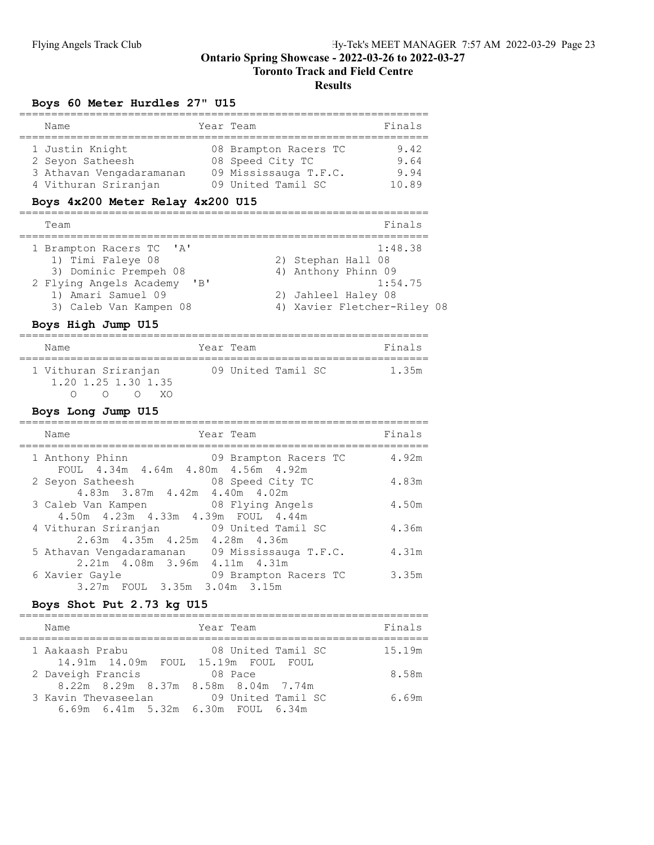# Toronto Track and Field Centre

## Results

## Boys 60 Meter Hurdles 27" U15

| Name                     | Year Team             | Finals |
|--------------------------|-----------------------|--------|
|                          |                       |        |
| 1 Justin Knight          | 08 Brampton Racers TC | 9.42   |
| 2 Seyon Satheesh         | 08 Speed City TC      | 9.64   |
| 3 Athavan Vengadaramanan | 09 Mississauga T.F.C. | 9.94   |
| 4 Vithuran Sriranjan     | 09 United Tamil SC    | 10.89  |

## Boys 4x200 Meter Relay 4x200 U15

| Team               |                             | Finals                      |  |
|--------------------|-----------------------------|-----------------------------|--|
|                    | 1 Brampton Racers TC 'A'    | 1:48.38                     |  |
| 1) Timi Faleye 08  |                             | 2) Stephan Hall 08          |  |
|                    | 3) Dominic Prempeh 08       | 4) Anthony Phinn 09         |  |
|                    | 2 Flying Angels Academy 'B' | 1:54.75                     |  |
| 1) Amari Samuel 09 |                             | 2) Jahleel Haley 08         |  |
|                    | 3) Caleb Van Kampen 08      | 4) Xavier Fletcher-Riley 08 |  |

## Boys High Jump U15

| Name                                        | Year Team |                    | Finals |
|---------------------------------------------|-----------|--------------------|--------|
| 1 Vithuran Sriranjan<br>1.20 1.25 1.30 1.35 |           | 09 United Tamil SC | 1.35m  |

## Boys Long Jump U15

| Name<br>Year Team                                                                           | Finals |
|---------------------------------------------------------------------------------------------|--------|
| 09 Brampton Racers TC<br>1 Anthony Phinn<br>FOUL 4.34m 4.64m 4.80m 4.56m 4.92m              | 4.92m  |
| 08 Speed City TC<br>2 Seyon Satheesh<br>4.83m 3.87m 4.42m 4.40m 4.02m                       | 4.83m  |
| 3 Caleb Van Kampen 608 Flying Angels<br>4.50m  4.23m  4.33m  4.39m  FOUL  4.44m             | 4.50m  |
| 09 United Tamil SC<br>4 Vithuran Sriranjan<br>$2.63m$ 4.35m 4.25m<br>4.28m 4.36m            | 4.36m  |
| 09 Mississauga T.F.C.<br>5 Athavan Vengadaramanan<br>$2.21m + 4.08m + 3.96m$<br>4.11m 4.31m | 4.31m  |
| 6 Xavier Gayle<br>09 Brampton Racers TC<br>3.27m FOUL 3.35m 3.04m 3.15m                     | 3.35m  |

### Boys Shot Put 2.73 kg U15

| Name                                                       | Year Team          | Finals |
|------------------------------------------------------------|--------------------|--------|
| 1 Aakaash Prabu<br>14.91m 14.09m FOUL 15.19m FOUL FOUL     | 08 United Tamil SC | 15.19m |
| 2 Daveigh Francis                                          | 08 Pace            | 8.58m  |
| 8.22m 8.29m 8.37m 8.58m 8.04m 7.74m<br>3 Kavin Thevaseelan | 09 United Tamil SC | 6.69m  |
| 6.69m  6.41m  5.32m  6.30m  FOUL  6.34m                    |                    |        |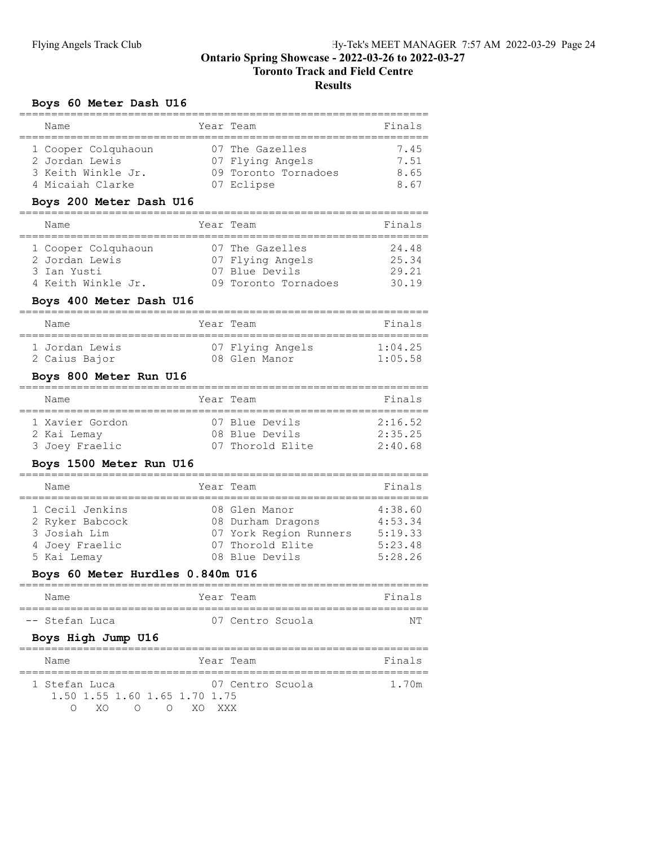# Toronto Track and Field Centre

## Results

## Boys 60 Meter Dash U16

| Name                | Year Team            | Finals |
|---------------------|----------------------|--------|
| 1 Cooper Colquhaoun | 07 The Gazelles      | 7.45   |
| 2 Jordan Lewis      | 07 Flying Angels     | 7.51   |
| 3 Keith Winkle Jr.  | 09 Toronto Tornadoes | 8.65   |
| 4 Micaiah Clarke    | 07 Eclipse           | 867    |

## Boys 200 Meter Dash U16

| Name                | Year Team            | Finals |
|---------------------|----------------------|--------|
| 1 Cooper Colquhaoun | 07 The Gazelles      | 24.48  |
| 2 Jordan Lewis      | 07 Flying Angels     | 25.34  |
| 3 Ian Yusti         | 07 Blue Devils       | 29.21  |
| 4 Keith Winkle Jr.  | 09 Toronto Tornadoes | 30.19  |

## Boys 400 Meter Dash U16

| Name |                | Year Team |                  | Finals          |
|------|----------------|-----------|------------------|-----------------|
|      | 1 Jordan Lewis |           | 07 Flying Angels | $1 \cdot 04$ 25 |
|      | 2 Caius Bajor  |           | 08 Glen Manor    | 1:05.58         |

### Boys 800 Meter Run U16

| Name                           | Year Team                        | Finals             |
|--------------------------------|----------------------------------|--------------------|
| 1 Xavier Gordon<br>2 Kai Lemay | 07 Blue Devils<br>08 Blue Devils | 2:16.52<br>2:35.25 |
| 3 Joey Fraelic                 | 07 Thorold Elite                 | 2:40.68            |

### Boys 1500 Meter Run U16

| Name            | Year Team              | Finals  |
|-----------------|------------------------|---------|
|                 |                        |         |
| 1 Cecil Jenkins | 08 Glen Manor          | 4:38.60 |
| 2 Ryker Babcock | 08 Durham Dragons      | 4:53.34 |
| 3 Josiah Lim    | 07 York Region Runners | 5:19.33 |
| 4 Joey Fraelic  | 07 Thorold Elite       | 5:23.48 |
| 5 Kai Lemay     | 08 Blue Devils         | 5:28.26 |

### Boys 60 Meter Hurdles 0.840m U16

| Name           | Year Team        | Finals |
|----------------|------------------|--------|
|                |                  |        |
| -- Stefan Luca | 07 Centro Scuola | NΤ     |

## Boys High Jump U16

|  | Name          |                               |           |  |          | Year Team        | Finals |
|--|---------------|-------------------------------|-----------|--|----------|------------------|--------|
|  | 1 Stefan Luca |                               |           |  |          | 07 Centro Scuola | 1.70m  |
|  |               | 1.50 1.55 1.60 1.65 1.70 1.75 |           |  |          |                  |        |
|  |               | $X \cup Y$<br>$\bigcap$       | $\bigcap$ |  | O XO XXX |                  |        |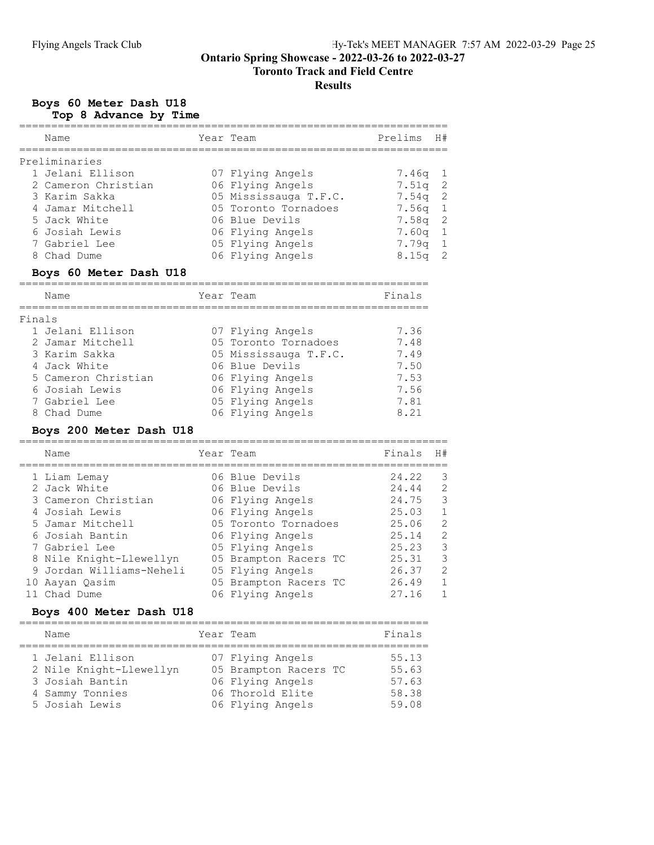# Toronto Track and Field Centre

### Results

# Boys 60 Meter Dash U18

Top 8 Advance by Time

|        | Name                                                         | Year Team                                   | Prelims | H#             |
|--------|--------------------------------------------------------------|---------------------------------------------|---------|----------------|
|        | ==========<br>Preliminaries                                  | ================<br>======================= |         |                |
|        | 1 Jelani Ellison                                             | 07 Flying Angels                            | 7.46q   | $\mathbf 1$    |
|        | 2 Cameron Christian                                          | 06 Flying Angels                            | 7.51q   | $\mathbf{2}$   |
|        | 3 Karim Sakka                                                | 05 Mississauga T.F.C.                       | 7.54q   | $\overline{c}$ |
|        | 4 Jamar Mitchell                                             | 05 Toronto Tornadoes                        | 7.56q   | $\mathbf 1$    |
|        | 5 Jack White                                                 | 06 Blue Devils                              | 7.58q   | $\overline{c}$ |
|        | 6 Josiah Lewis                                               | 06 Flying Angels                            | 7.60g   | $\mathbf 1$    |
|        | 7 Gabriel Lee                                                | 05 Flying Angels                            | 7.79q   | $\mathbf 1$    |
|        | 8 Chad Dume                                                  | 06 Flying Angels                            | 8.15q   | $\overline{2}$ |
|        | Boys 60 Meter Dash U18                                       |                                             |         |                |
|        | Name                                                         | Year Team                                   | Finals  |                |
| Finals |                                                              |                                             |         |                |
|        | 1 Jelani Ellison                                             | 07 Flying Angels                            | 7.36    |                |
|        | 2 Jamar Mitchell                                             | 05 Toronto Tornadoes                        | 7.48    |                |
|        | 3 Karim Sakka                                                | 05 Mississauga T.F.C.                       | 7.49    |                |
|        | 4 Jack White                                                 | 06 Blue Devils                              | 7.50    |                |
|        | 5 Cameron Christian                                          | 06 Flying Angels                            | 7.53    |                |
|        | 6 Josiah Lewis                                               | 06 Flying Angels                            | 7.56    |                |
|        | 7 Gabriel Lee                                                | 05 Flying Angels                            | 7.81    |                |
|        | 8 Chad Dume                                                  | 06 Flying Angels                            | 8.21    |                |
|        | Boys 200 Meter Dash U18<br>================================= | ----------------------------                |         |                |
|        | Name                                                         | Year Team                                   | Finals  | H#             |
|        | ------------<br>l Liam Lemay                                 | 06 Blue Devils                              | 24.22   | 3              |
|        | 2 Jack White                                                 | 06 Blue Devils                              | 24.44   | $\overline{c}$ |
|        | 3 Cameron Christian                                          | 06 Flying Angels                            | 24.75   | 3              |
|        | 4 Josiah Lewis                                               | 06 Flying Angels                            | 25.03   | $\mathbf{1}$   |
|        | 5 Jamar Mitchell                                             | 05 Toronto Tornadoes                        | 25.06   | $\overline{c}$ |
|        | 6 Josiah Bantin                                              | 06 Flying Angels                            | 25.14   | $\overline{c}$ |
|        | 7 Gabriel Lee                                                | 05 Flying Angels                            | 25.23   | 3              |
|        | 8 Nile Knight-Llewellyn                                      | 05 Brampton Racers TC                       | 25.31   | $\overline{3}$ |
|        | 9 Jordan Williams-Neheli                                     | 05 Flying Angels                            | 26.37   | $\overline{c}$ |
|        | 10 Aayan Qasim                                               | 05 Brampton Racers TC                       | 26.49   | $\mathbf{1}$   |
|        | 11 Chad Dume                                                 | 06 Flying Angels                            | 27.16   | $\mathbf{1}$   |

## Boys 400 Meter Dash U18

| Year Team<br>Name                                                                                                                                                                                            | Finals                                    |
|--------------------------------------------------------------------------------------------------------------------------------------------------------------------------------------------------------------|-------------------------------------------|
| 1 Jelani Ellison<br>07 Flying Angels<br>2 Nile Knight-Llewellyn<br>05 Brampton Racers TC<br>3 Josiah Bantin<br>06 Flying Angels<br>06 Thorold Elite<br>4 Sammy Tonnies<br>5 Josiah Lewis<br>06 Flying Angels | 55.13<br>55.63<br>57.63<br>58.38<br>59.08 |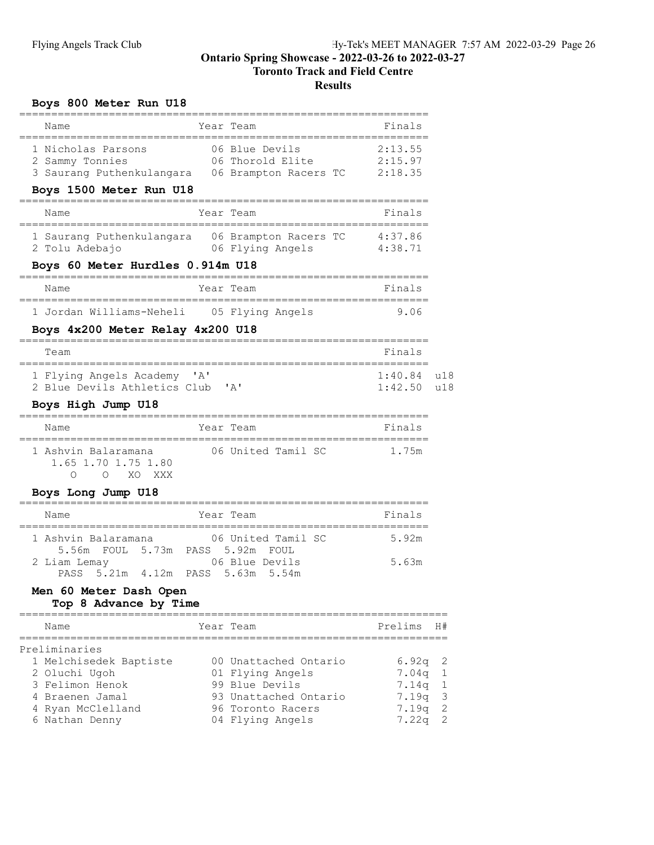#### Toronto Track and Field Centre

## Results

### Boys 800 Meter Run U18

| Name                                                                                                                                                     |            | Year Team                                                                                                                     | Finals                                             |                            |
|----------------------------------------------------------------------------------------------------------------------------------------------------------|------------|-------------------------------------------------------------------------------------------------------------------------------|----------------------------------------------------|----------------------------|
| 1 Nicholas Parsons<br>2 Sammy Tonnies<br>3 Saurang Puthenkulangara 06 Brampton Racers TC 2:18.35                                                         |            | 06 Blue Devils<br>06 Thorold Elite                                                                                            | 2:13.55<br>2:15.97                                 |                            |
| Boys 1500 Meter Run U18                                                                                                                                  |            |                                                                                                                               |                                                    |                            |
| Name                                                                                                                                                     |            | Year Team                                                                                                                     | Finals                                             |                            |
| 1 Saurang Puthenkulangara 06 Brampton Racers TC<br>2 Tolu Adebajo                                                                                        |            | 06 Flying Angels                                                                                                              | 4:37.86<br>4:38.71                                 |                            |
| Boys 60 Meter Hurdles 0.914m U18                                                                                                                         |            |                                                                                                                               |                                                    |                            |
| Name                                                                                                                                                     |            | Year Team                                                                                                                     | Finals                                             |                            |
| 1 Jordan Williams-Neheli 05 Flying Angels                                                                                                                |            |                                                                                                                               | 9.06                                               |                            |
| Boys 4x200 Meter Relay 4x200 U18                                                                                                                         |            |                                                                                                                               |                                                    |                            |
| Team                                                                                                                                                     |            |                                                                                                                               | Finals                                             |                            |
| 1 Flying Angels Academy 'A'<br>2 Blue Devils Athletics Club                                                                                              |            | $^{\bullet}$ A                                                                                                                | 1:40.84<br>1:42.50                                 | u18<br>u18                 |
| Boys High Jump U18                                                                                                                                       |            |                                                                                                                               |                                                    |                            |
| Name                                                                                                                                                     |            | Year Team                                                                                                                     | Finals                                             |                            |
| 1 Ashvin Balaramana<br>1.65 1.70 1.75 1.80<br>$\Omega$<br>$\Omega$<br>XO XXX                                                                             |            | ;=====================<br>06 United Tamil SC                                                                                  | 1.75m                                              |                            |
| Boys Long Jump U18                                                                                                                                       |            |                                                                                                                               |                                                    |                            |
| Name                                                                                                                                                     |            | Year Team                                                                                                                     | Finals                                             |                            |
| 1 Ashvin Balaramana                                                                                                                                      |            | 06 United Tamil SC                                                                                                            | ==========<br>5.92m                                |                            |
| 5.56m<br>FOUL<br>2 Liam Lemay<br>5.21m  4.12m  PASS<br>PASS                                                                                              | 5.73m PASS | 5.92m<br>FOUL<br>06 Blue Devils<br>5.63m<br>5.54m                                                                             | 5.63m                                              |                            |
| Men 60 Meter Dash Open<br>Top 8 Advance by Time                                                                                                          |            |                                                                                                                               |                                                    |                            |
| Name                                                                                                                                                     |            | Year Team                                                                                                                     | Prelims                                            | H#                         |
| ===============<br>Preliminaries<br>1 Melchisedek Baptiste<br>2 Oluchi Ugoh<br>3 Felimon Henok<br>4 Braenen Jamal<br>4 Ryan McClelland<br>6 Nathan Denny |            | 00 Unattached Ontario<br>01 Flying Angels<br>99 Blue Devils<br>93 Unattached Ontario<br>96 Toronto Racers<br>04 Flying Angels | 6.92q<br>7.04q<br>7.14q<br>7.19q<br>7.19q<br>7.22q | 2<br>1<br>1<br>3<br>2<br>2 |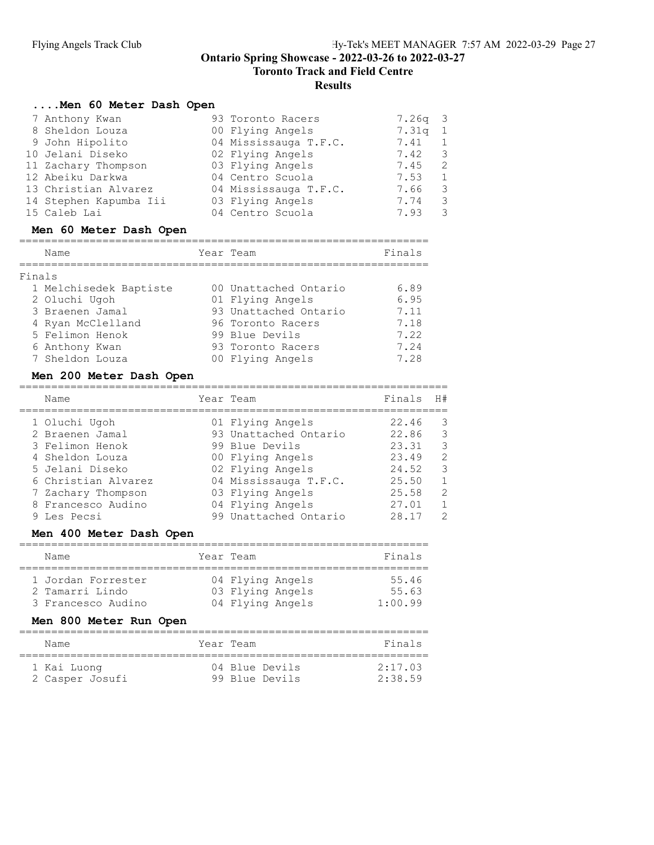Toronto Track and Field Centre

## Results

## ....Men 60 Meter Dash Open

| 7 Anthony Kwan         | 93 Toronto Racers     | $7.26q$ 3 |                |
|------------------------|-----------------------|-----------|----------------|
| 8 Sheldon Louza        | 00 Flying Angels      | 7.31a     | $\overline{1}$ |
| 9 John Hipolito        | 04 Mississauga T.F.C. | 7.41      |                |
| 10 Jelani Diseko       | 02 Flying Angels      | 7.42      | -3             |
| 11 Zachary Thompson    | 03 Flying Angels      | 7.45      | 2              |
| 12 Abeiku Darkwa       | 04 Centro Scuola      | 7.53      | 1              |
| 13 Christian Alvarez   | 04 Mississauga T.F.C. | 7.66      | 3              |
| 14 Stephen Kapumba Iii | 03 Flying Angels      | 7.74      | 3              |
| 15 Caleb Lai           | 04 Centro Scuola      | 7.93      | 3              |

#### Men 60 Meter Dash Open

|        | 11.11 00 110 001 001 0011 0001 |                       |        |
|--------|--------------------------------|-----------------------|--------|
|        | Name                           | Year Team             | Finals |
| Finals |                                |                       |        |
|        | 1 Melchisedek Baptiste         | 00 Unattached Ontario | 6.89   |
|        | 2 Oluchi Ugoh                  | 01 Flying Angels      | 6.95   |
|        | 3 Braenen Jamal                | 93 Unattached Ontario | 7.11   |
|        | 4 Ryan McClelland              | 96 Toronto Racers     | 7.18   |
|        | 5 Felimon Henok                | 99 Blue Devils        | 7.22   |
|        | 6 Anthony Kwan                 | 93 Toronto Racers     | 7.24   |
|        | 7 Sheldon Louza                | 00 Flying Angels      | 7.28   |

### Men 200 Meter Dash Open

| Name                | Year Team             | Finals | H#            |
|---------------------|-----------------------|--------|---------------|
| 1 Oluchi Ugoh       | 01 Flying Angels      | 22.46  | 3             |
| 2 Braenen Jamal     | 93 Unattached Ontario | 22.86  | 3             |
| 3 Felimon Henok     | 99 Blue Devils        | 23.31  | 3             |
| 4 Sheldon Louza     | 00 Flying Angels      | 23.49  | $\mathcal{L}$ |
| 5 Jelani Diseko     | 02 Flying Angels      | 24.52  | 3             |
| 6 Christian Alvarez | 04 Mississauga T.F.C. | 25.50  |               |
| 7 Zachary Thompson  | 03 Flying Angels      | 25.58  | $\mathcal{L}$ |
| 8 Francesco Audino  | 04 Flying Angels      | 27.01  |               |
| 9 Les Pecsi         | 99 Unattached Ontario | 28 17  | っ             |

### Men 400 Meter Dash Open

|  | Name               | Year Team |                  | Finals  |  |  |
|--|--------------------|-----------|------------------|---------|--|--|
|  |                    |           |                  |         |  |  |
|  | 1 Jordan Forrester |           | 04 Flying Angels | 55.46   |  |  |
|  | 2 Tamarri Lindo    |           | 03 Flying Angels | 55.63   |  |  |
|  | 3 Francesco Audino |           | 04 Flying Angels | 1:00.99 |  |  |

### Men 800 Meter Run Open

| Name            | Year Team      | Finals    |
|-----------------|----------------|-----------|
| 1 Kai Luong     | 04 Blue Devils | 2:17.03   |
| 2 Casper Josufi | 99 Blue Devils | $2.38$ 59 |